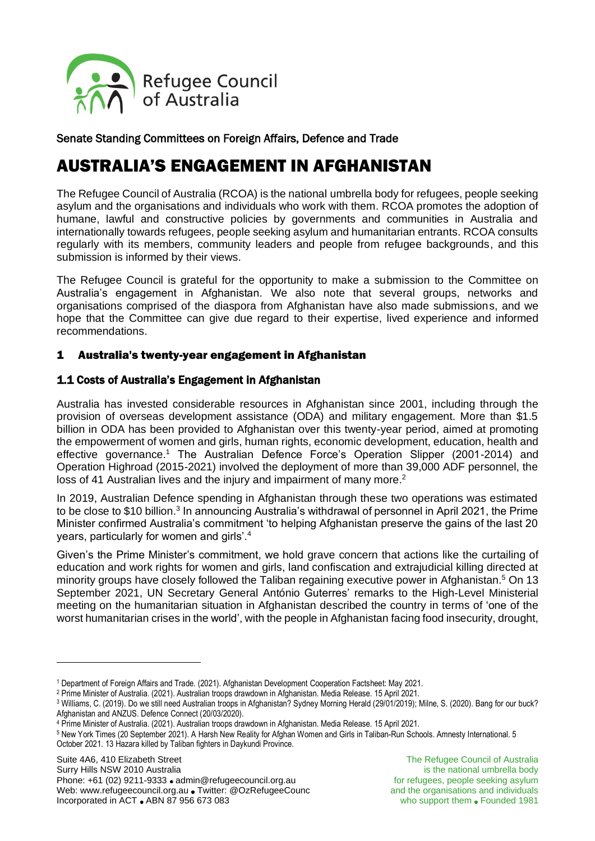

Senate Standing Committees on Foreign Affairs, Defence and Trade

# AUSTRALIA'S ENGAGEMENT IN AFGHANISTAN

The Refugee Council of Australia (RCOA) is the national umbrella body for refugees, people seeking asylum and the organisations and individuals who work with them. RCOA promotes the adoption of humane, lawful and constructive policies by governments and communities in Australia and internationally towards refugees, people seeking asylum and humanitarian entrants. RCOA consults regularly with its members, community leaders and people from refugee backgrounds, and this submission is informed by their views.

The Refugee Council is grateful for the opportunity to make a submission to the Committee on Australia's engagement in Afghanistan. We also note that several groups, networks and organisations comprised of the diaspora from Afghanistan have also made submissions, and we hope that the Committee can give due regard to their expertise, lived experience and informed recommendations.

## 1 Australia's twenty-year engagement in Afghanistan

## 1.1 Costs of Australia's Engagement in Afghanistan

Australia has invested considerable resources in Afghanistan since 2001, including through the provision of overseas development assistance (ODA) and military engagement. More than \$1.5 billion in ODA has been provided to Afghanistan over this twenty-year period, aimed at promoting the empowerment of women and girls, human rights, economic development, education, health and effective governance.<sup>1</sup> The Australian Defence Force's Operation Slipper (2001-2014) and Operation Highroad (2015-2021) involved the deployment of more than 39,000 ADF personnel, the loss of 41 Australian lives and the injury and impairment of many more.<sup>2</sup>

In 2019, Australian Defence spending in Afghanistan through these two operations was estimated to be close to \$10 billion.<sup>3</sup> In announcing Australia's withdrawal of personnel in April 2021, the Prime Minister confirmed Australia's commitment 'to helping Afghanistan preserve the gains of the last 20 years, particularly for women and girls'.<sup>4</sup>

Given's the Prime Minister's commitment, we hold grave concern that actions like the curtailing of education and work rights for women and girls, land confiscation and extrajudicial killing directed at minority groups have closely followed the Taliban regaining executive power in Afghanistan.<sup>5</sup> On 13 September 2021, UN Secretary General António Guterres' remarks to the High-Level Ministerial meeting on the humanitarian situation in Afghanistan described the country in terms of 'one of the worst humanitarian crises in the world', with the people in Afghanistan facing food insecurity, drought,

<sup>1</sup> Department of Foreign Affairs and Trade. (2021). Afghanistan [Development](https://www.dfat.gov.au/sites/default/files/development-cooperation-fact-sheet-afghanistan.pdf) Cooperation Factsheet: May 2021.

<sup>2</sup> Prime Minister of Australia. (2021). Australian troops drawdown in [Afghanistan.](https://www.pm.gov.au/media/australian-troops-drawdown-afghanistan) Media Release. 15 April 2021.

<sup>3</sup> Williams, C. (2019). Do we still need Australian troops in [Afghanistan?](https://www.smh.com.au/national/do-we-still-need-australian-troops-in-afghanistan-20190123-p50t40.html) Sydney Morning Herald (29/01/2019); Milne, S. (2020). Bang for our [buck?](https://www.defenceconnect.com.au/key-enablers/5784-bang-for-our-buck-afghanistan-and-anzus) [Afghanistan](https://www.defenceconnect.com.au/key-enablers/5784-bang-for-our-buck-afghanistan-and-anzus) and ANZUS. Defence Connect (20/03/2020).

<sup>4</sup> Prime Minister of Australia. (2021). Australian troops drawdown in [Afghanistan.](https://www.pm.gov.au/media/australian-troops-drawdown-afghanistan) Media Release. 15 April 2021.

<sup>5</sup> New York Times (20 September 2021). A Harsh New Reality for Afghan Women and Girls in [Taliban-Run](https://www.nytimes.com/2021/09/20/world/asia/afghan-girls-schools-taliban.html) Schools. Amnesty International. 5 October 2021. 13 Hazara killed by Taliban fighters in Daykundi [Province.](https://www.amnesty.org/en/latest/press-release/2021/10/afghanistan-13-hazara-killed-by-taliban-fighters-in-daykundi-province-new-investigation/)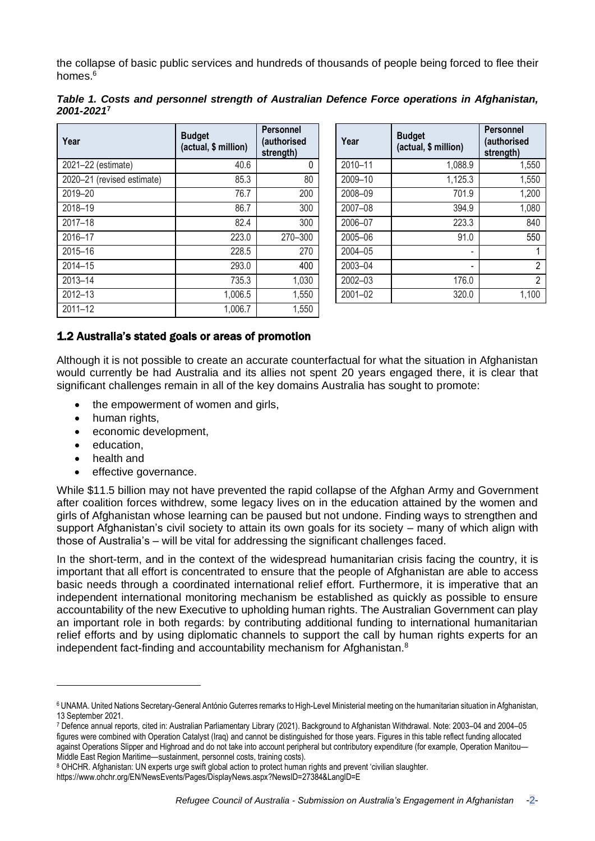the collapse of basic public services and hundreds of thousands of people being forced to flee their homes  $6$ 

| Table 1. Costs and personnel strength of Australian Defence Force operations in Afghanistan, |  |  |  |
|----------------------------------------------------------------------------------------------|--|--|--|
| 2001-20217                                                                                   |  |  |  |

| Year                       | <b>Budget</b><br>(actual, \$ million) | <b>Personnel</b><br>(authorised<br>strength) | Year    | <b>Budget</b><br>(actual, \$ million) | <b>Personnel</b><br>(authorised<br>strength) |
|----------------------------|---------------------------------------|----------------------------------------------|---------|---------------------------------------|----------------------------------------------|
| 2021-22 (estimate)         | 40.6                                  | $\mathbf{0}$                                 | 2010-11 | 1,088.9                               | 1,550                                        |
| 2020-21 (revised estimate) | 85.3                                  | 80                                           | 2009-10 | 1,125.3                               | 1,550                                        |
| 2019-20                    | 76.7                                  | 200                                          | 2008-09 | 701.9                                 | 1,200                                        |
| 2018-19                    | 86.7                                  | 300                                          | 2007-08 | 394.9                                 | 1,080                                        |
| $2017 - 18$                | 82.4                                  | 300                                          | 2006-07 | 223.3                                 | 840                                          |
| 2016-17                    | 223.0                                 | 270-300                                      | 2005-06 | 91.0                                  | 550                                          |
| 2015-16                    | 228.5                                 | 270                                          | 2004-05 |                                       |                                              |
| 2014-15                    | 293.0                                 | 400                                          | 2003-04 |                                       | 2                                            |
| 2013-14                    | 735.3                                 | 1,030                                        | 2002-03 | 176.0                                 | 2                                            |
| 2012-13                    | 1,006.5                               | 1,550                                        | 2001-02 | 320.0                                 | 1,100                                        |
| $2011 - 12$                | 1,006.7                               | 1,550                                        |         |                                       |                                              |

| Year    | <b>Budget</b><br>(actual, \$ million) | <b>Personnel</b><br>(authorised<br>strength) |
|---------|---------------------------------------|----------------------------------------------|
| 2010-11 | 1,088.9                               | 1,550                                        |
| 2009-10 | 1,125.3                               | 1,550                                        |
| 2008-09 | 701.9                                 | 1,200                                        |
| 2007-08 | 394.9                                 | 1,080                                        |
| 2006-07 | 223.3                                 | 840                                          |
| 2005-06 | 91.0                                  | 550                                          |
| 2004-05 |                                       | 1                                            |
| 2003-04 |                                       | 2                                            |
| 2002-03 | 176.0                                 | $\overline{2}$                               |
| 2001-02 | 320.0                                 | 1,100                                        |

## 1.2 Australia's stated goals or areas of promotion

Although it is not possible to create an accurate counterfactual for what the situation in Afghanistan would currently be had Australia and its allies not spent 20 years engaged there, it is clear that significant challenges remain in all of the key domains Australia has sought to promote:

- the empowerment of women and girls,
- human rights.
- economic development,
- education,
- health and
- effective governance.

While \$11.5 billion may not have prevented the rapid collapse of the Afghan Army and Government after coalition forces withdrew, some legacy lives on in the education attained by the women and girls of Afghanistan whose learning can be paused but not undone. Finding ways to strengthen and support Afghanistan's civil society to attain its own goals for its society – many of which align with those of Australia's – will be vital for addressing the significant challenges faced.

In the short-term, and in the context of the widespread humanitarian crisis facing the country, it is important that all effort is concentrated to ensure that the people of Afghanistan are able to access basic needs through a coordinated international relief effort. Furthermore, it is imperative that an independent international monitoring mechanism be established as quickly as possible to ensure accountability of the new Executive to upholding human rights. The Australian Government can play an important role in both regards: by contributing additional funding to international humanitarian relief efforts and by using diplomatic channels to support the call by human rights experts for an independent fact-finding and accountability mechanism for Afghanistan.<sup>8</sup>

<sup>6</sup> UNAMA. United Nations [Secretary-General](https://unama.unmissions.org/united-nations-secretary-general-ant%C3%B3nio-guterres-remarks-high-level-ministerial-meeting) António Guterres remarks to High-Level Ministerial meeting on the humanitarian situation in Afghanistan, 13 September 2021.

<sup>7</sup> Defence annual reports, cited in: Australian Parliamentary Library (2021). [Background](https://www.aph.gov.au/About_Parliament/Parliamentary_Departments/Parliamentary_Library/pubs/rp/rp2122/Quick_Guides/BackgroundToAfghanistanWithdrawal) to Afghanistan Withdrawal. Note: 2003–04 and 2004–05 figures were combined with Operation Catalyst (Iraq) and cannot be distinguished for those years. Figures in this table reflect funding allocated against Operations Slipper and Highroad and do not take into account peripheral but contributory expenditure (for example, [Operation](https://www1.defence.gov.au/operations/manitou) Manitou— Middle East Region [Maritime](https://www1.defence.gov.au/operations/manitou)—sustainment, personnel costs, training costs).

<sup>8</sup> OHCHR. Afghanistan: UN experts urge swift global action to protect human rights and prevent 'civilian slaughter.

<https://www.ohchr.org/EN/NewsEvents/Pages/DisplayNews.aspx?NewsID=27384&LangID=E>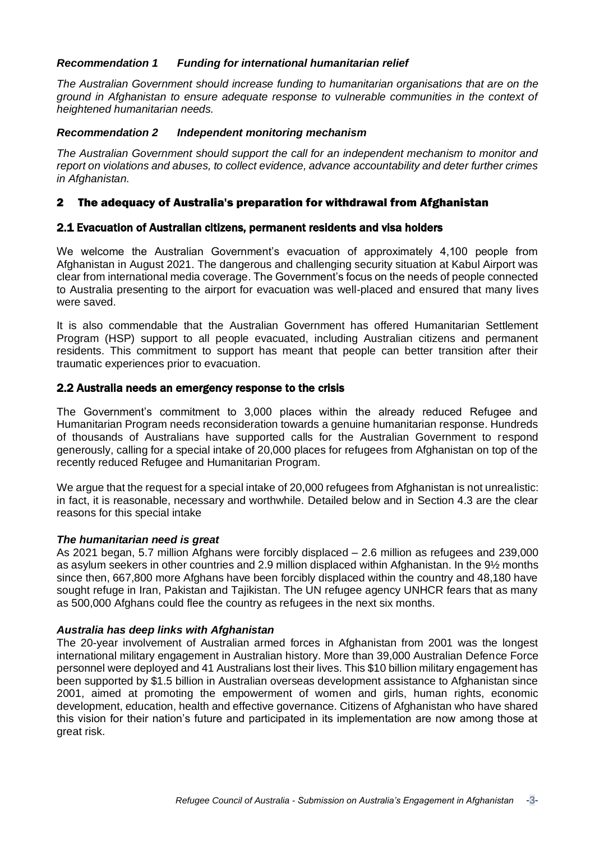## *Recommendation 1 Funding for international humanitarian relief*

*The Australian Government should increase funding to humanitarian organisations that are on the ground in Afghanistan to ensure adequate response to vulnerable communities in the context of heightened humanitarian needs.*

## *Recommendation 2 Independent monitoring mechanism*

*The Australian Government should support the call for an independent mechanism to monitor and report on violations and abuses, to collect evidence, advance accountability and deter further crimes in Afghanistan.* 

## 2 The adequacy of Australia's preparation for withdrawal from Afghanistan

## 2.1 Evacuation of Australian citizens, permanent residents and visa holders

We welcome the Australian Government's evacuation of approximately 4,100 people from Afghanistan in August 2021. The dangerous and challenging security situation at Kabul Airport was clear from international media coverage. The Government's focus on the needs of people connected to Australia presenting to the airport for evacuation was well-placed and ensured that many lives were saved.

It is also commendable that the Australian Government has offered Humanitarian Settlement Program (HSP) support to all people evacuated, including Australian citizens and permanent residents. This commitment to support has meant that people can better transition after their traumatic experiences prior to evacuation.

## 2.2 Australia needs an emergency response to the crisis

The Government's commitment to 3,000 places within the already reduced Refugee and Humanitarian Program needs reconsideration towards a genuine humanitarian response. Hundreds of thousands of Australians have supported calls for the Australian Government to respond generously, calling for a special intake of 20,000 places for refugees from Afghanistan on top of the recently reduced Refugee and Humanitarian Program.

We argue that the request for a special intake of 20,000 refugees from Afghanistan is not unrealistic: in fact, it is reasonable, necessary and worthwhile. Detailed below and in Section 4.3 are the clear reasons for this special intake

#### *The humanitarian need is great*

As 2021 began, 5.7 million Afghans were forcibly displaced – 2.6 million as refugees and 239,000 as asylum seekers in other countries and 2.9 million displaced within Afghanistan. In the 9½ months since then, 667,800 more Afghans have been forcibly displaced within the country and 48,180 have sought refuge in Iran, Pakistan and Tajikistan. The UN refugee agency UNHCR fears that as many as 500,000 Afghans could flee the country as refugees in the next six months.

## *Australia has deep links with Afghanistan*

The 20-year involvement of Australian armed forces in Afghanistan from 2001 was the longest international military engagement in Australian history. More than 39,000 Australian Defence Force personnel were deployed and 41 Australians lost their lives. This \$10 billion military engagement has been supported by \$1.5 billion in Australian overseas development assistance to Afghanistan since 2001, aimed at promoting the empowerment of women and girls, human rights, economic development, education, health and effective governance. Citizens of Afghanistan who have shared this vision for their nation's future and participated in its implementation are now among those at great risk.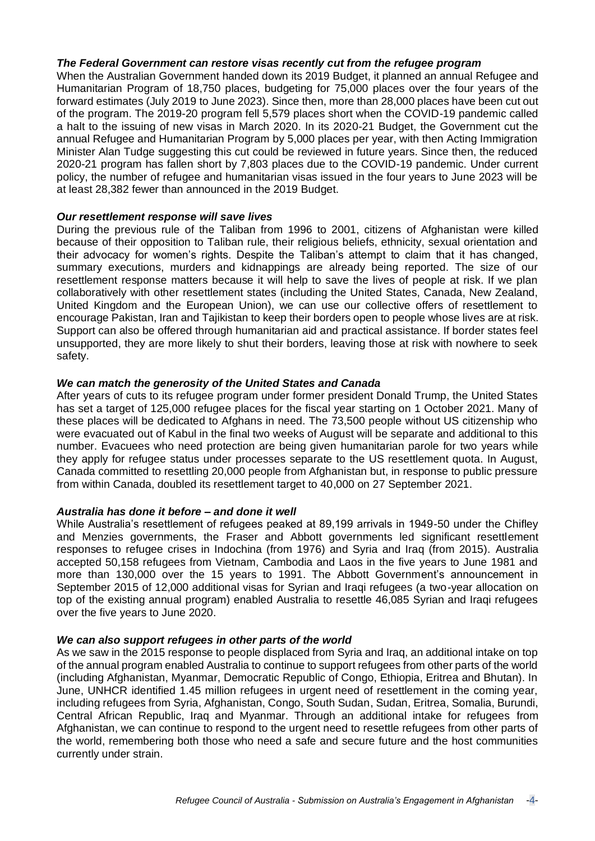#### *The Federal Government can restore visas recently cut from the refugee program*

When the Australian Government handed down its 2019 Budget, it planned an annual Refugee and Humanitarian Program of 18,750 places, budgeting for 75,000 places over the four years of the forward estimates (July 2019 to June 2023). Since then, more than 28,000 places have been cut out of the program. The 2019-20 program fell 5,579 places short when the COVID-19 pandemic called a halt to the issuing of new visas in March 2020. In its 2020-21 Budget, the Government cut the annual Refugee and Humanitarian Program by 5,000 places per year, with then Acting Immigration Minister Alan Tudge suggesting this cut could be reviewed in future years. Since then, the reduced 2020-21 program has fallen short by 7,803 places due to the COVID-19 pandemic. Under current policy, the number of refugee and humanitarian visas issued in the four years to June 2023 will be at least 28,382 fewer than announced in the 2019 Budget.

## *Our resettlement response will save lives*

During the previous rule of the Taliban from 1996 to 2001, citizens of Afghanistan were killed because of their opposition to Taliban rule, their religious beliefs, ethnicity, sexual orientation and their advocacy for women's rights. Despite the Taliban's attempt to claim that it has changed, summary executions, murders and kidnappings are already being reported. The size of our resettlement response matters because it will help to save the lives of people at risk. If we plan collaboratively with other resettlement states (including the United States, Canada, New Zealand, United Kingdom and the European Union), we can use our collective offers of resettlement to encourage Pakistan, Iran and Tajikistan to keep their borders open to people whose lives are at risk. Support can also be offered through humanitarian aid and practical assistance. If border states feel unsupported, they are more likely to shut their borders, leaving those at risk with nowhere to seek safety.

## *We can match the generosity of the United States and Canada*

After years of cuts to its refugee program under former president Donald Trump, the United States has set a target of 125,000 refugee places for the fiscal year starting on 1 October 2021. Many of these places will be dedicated to Afghans in need. The 73,500 people without US citizenship who were evacuated out of Kabul in the final two weeks of August will be separate and additional to this number. Evacuees who need protection are being given humanitarian parole for two years while they apply for refugee status under processes separate to the US resettlement quota. In August, Canada committed to resettling 20,000 people from Afghanistan but, in response to public pressure from within Canada, doubled its resettlement target to 40,000 on 27 September 2021.

#### *Australia has done it before – and done it well*

While Australia's resettlement of refugees peaked at 89,199 arrivals in 1949-50 under the Chifley and Menzies governments, the Fraser and Abbott governments led significant resettlement responses to refugee crises in Indochina (from 1976) and Syria and Iraq (from 2015). Australia accepted 50,158 refugees from Vietnam, Cambodia and Laos in the five years to June 1981 and more than 130,000 over the 15 years to 1991. The Abbott Government's announcement in September 2015 of 12,000 additional visas for Syrian and Iragi refugees (a two-year allocation on top of the existing annual program) enabled Australia to resettle 46,085 Syrian and Iraqi refugees over the five years to June 2020.

#### *We can also support refugees in other parts of the world*

As we saw in the 2015 response to people displaced from Syria and Iraq, an additional intake on top of the annual program enabled Australia to continue to support refugees from other parts of the world (including Afghanistan, Myanmar, Democratic Republic of Congo, Ethiopia, Eritrea and Bhutan). In June, UNHCR identified 1.45 million refugees in urgent need of resettlement in the coming year, including refugees from Syria, Afghanistan, Congo, South Sudan, Sudan, Eritrea, Somalia, Burundi, Central African Republic, Iraq and Myanmar. Through an additional intake for refugees from Afghanistan, we can continue to respond to the urgent need to resettle refugees from other parts of the world, remembering both those who need a safe and secure future and the host communities currently under strain.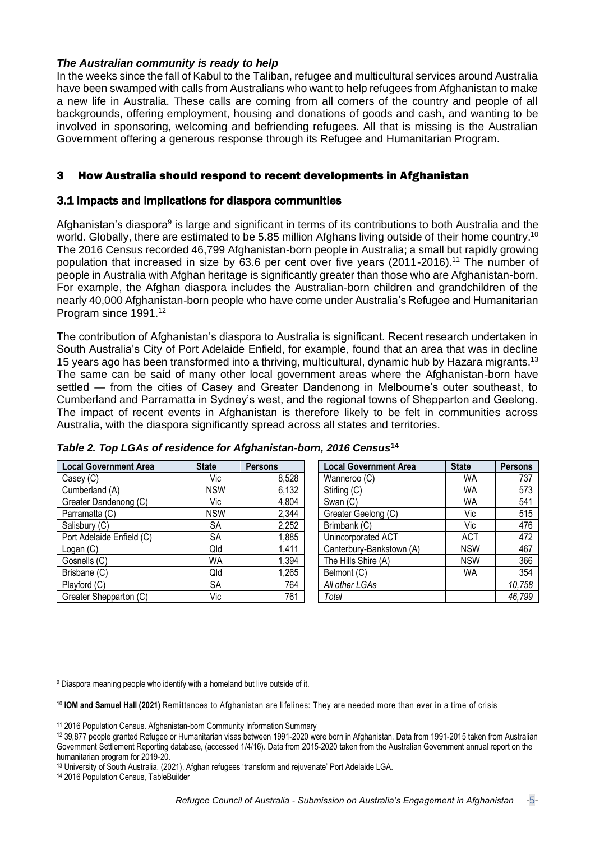## *The Australian community is ready to help*

In the weeks since the fall of Kabul to the Taliban, refugee and multicultural services around Australia have been swamped with calls from Australians who want to help refugees from Afghanistan to make a new life in Australia. These calls are coming from all corners of the country and people of all backgrounds, offering employment, housing and donations of goods and cash, and wanting to be involved in sponsoring, welcoming and befriending refugees. All that is missing is the Australian Government offering a generous response through its Refugee and Humanitarian Program.

## 3 How Australia should respond to recent developments in Afghanistan

## 3.1 Impacts and implications for diaspora communities

Afghanistan's diaspora<sup>9</sup> is large and significant in terms of its contributions to both Australia and the world. Globally, there are estimated to be 5.85 million Afghans living outside of their home country.<sup>10</sup> The 2016 Census recorded 46,799 Afghanistan-born people in Australia; a small but rapidly growing population that increased in size by 63.6 per cent over five years (2011-2016).<sup>11</sup> The number of people in Australia with Afghan heritage is significantly greater than those who are Afghanistan-born. For example, the Afghan diaspora includes the Australian-born children and grandchildren of the nearly 40,000 Afghanistan-born people who have come under Australia's Refugee and Humanitarian Program since 1991.<sup>12</sup>

The contribution of Afghanistan's diaspora to Australia is significant. Recent research undertaken in South Australia's City of Port Adelaide Enfield, for example, found that an area that was in decline 15 years ago has been transformed into a thriving, multicultural, dynamic hub by Hazara migrants.<sup>13</sup> The same can be said of many other local government areas where the Afghanistan-born have settled — from the cities of Casey and Greater Dandenong in Melbourne's outer southeast, to Cumberland and Parramatta in Sydney's west, and the regional towns of Shepparton and Geelong. The impact of recent events in Afghanistan is therefore likely to be felt in communities across Australia, with the diaspora significantly spread across all states and territories.

| <b>Local Government Area</b> | <b>State</b> | <b>Persons</b> | <b>Local Government Area</b> | <b>State</b> | <b>Persons</b> |
|------------------------------|--------------|----------------|------------------------------|--------------|----------------|
| Casey (C)                    | Vic          | 8,528          | Wanneroo (C)                 | WA           | 737            |
| Cumberland (A)               | <b>NSW</b>   | 6,132          | Stirling (C)                 | WA           | 573            |
| Greater Dandenong (C)        | Vic          | 4,804          | Swan (C)                     | WA           | 541            |
| Parramatta (C)               | <b>NSW</b>   | 2,344          | Greater Geelong (C)          | Vic          | 515            |
| Salisbury (C)                | <b>SA</b>    | 2,252          | Brimbank (C)                 | Vic          | 476            |
| Port Adelaide Enfield (C)    | <b>SA</b>    | 1,885          | Unincorporated ACT           | <b>ACT</b>   | 472            |
| Logan (C)                    | Qld          | 1,411          | Canterbury-Bankstown (A)     | <b>NSW</b>   | 467            |
| Gosnells (C)                 | <b>WA</b>    | 1,394          | The Hills Shire (A)          | <b>NSW</b>   | 366            |
| Brisbane (C)                 | Qld          | 1,265          | Belmont (C)                  | WA           | 354            |
| Playford (C)                 | <b>SA</b>    | 764            | All other LGAs               |              | 10,758         |
| Greater Shepparton (C)       | Vic          | 761            | Total                        |              | 46,799         |

| Table 2. Top LGAs of residence for Afghanistan-born, 2016 Census <sup>14</sup> |  |  |  |  |  |
|--------------------------------------------------------------------------------|--|--|--|--|--|
|--------------------------------------------------------------------------------|--|--|--|--|--|

<sup>9</sup> Diaspora meaning people who identify with a homeland but live outside of it.

<sup>10</sup> **IOM and Samuel Hall (2021)** [Remittances](https://reliefweb.int/report/afghanistan/blog-remittances-afghanistan-are-lifelines-they-are-needed-more-ever-time-crisis?utm_medium=social&utm_campaign=shared&utm_source=twitter.com) to Afghanistan are lifelines: They are needed more than ever in a time of crisis

<sup>11</sup> 2016 Population Census. [Afghanistan-born](https://www.homeaffairs.gov.au/mca/files/2016-cis-afghanistan.pdf) Community Information Summary

<sup>12</sup> 39,877 people granted Refugee or Humanitarian visas between 1991-2020 were born in Afghanistan. Data from 1991-2015 taken from Australian Government Settlement Reporting database, (accessed 1/4/16). Data from 2015-2020 taken from the Australian Government annual report on the humanitarian program for 2019-20.

<sup>13</sup> University of South Australia. (2021). Afghan refugees 'transform and [rejuvenate'](https://www.unisa.edu.au/Media-Centre/Releases/2021/afghan-refugees-transform-and-rejuvenate-port-adelaide-lga/) Port Adelaide LGA.

<sup>14</sup> 2016 Population Census, TableBuilder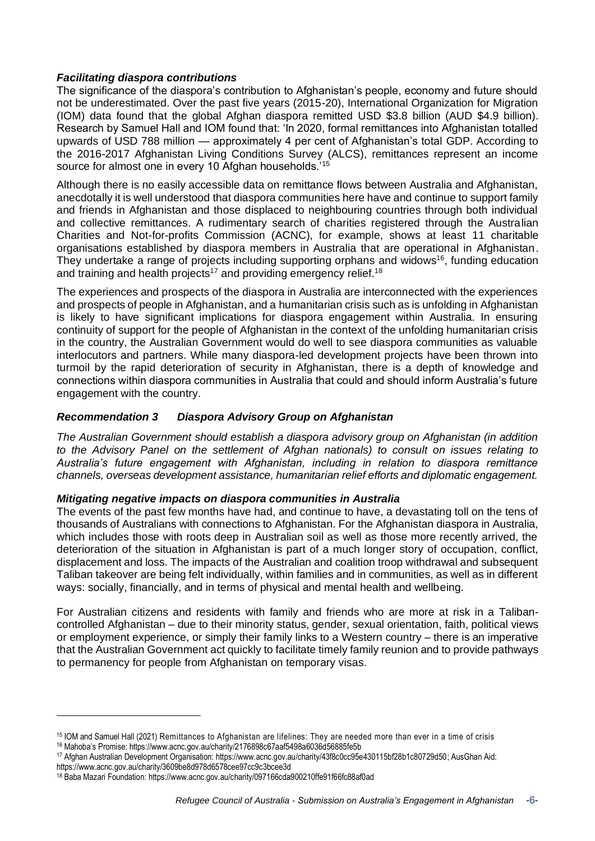## *Facilitating diaspora contributions*

The significance of the diaspora's contribution to Afghanistan's people, economy and future should not be underestimated. Over the past five years (2015-20), International Organization for Migration (IOM) data found that the global Afghan diaspora remitted USD \$3.8 billion (AUD \$4.9 billion). Research by Samuel Hall and IOM found that: 'In 2020, formal remittances into Afghanistan totalled upwards of USD 788 million — approximately 4 per cent of Afghanistan's total GDP. According to the 2016-2017 Afghanistan Living Conditions Survey (ALCS), remittances represent an income source for almost one in every 10 Afghan households.<sup>'15</sup>

Although there is no easily accessible data on remittance flows between Australia and Afghanistan, anecdotally it is well understood that diaspora communities here have and continue to support family and friends in Afghanistan and those displaced to neighbouring countries through both individual and collective remittances. A rudimentary search of charities registered through the Australian Charities and Not-for-profits Commission (ACNC), for example, shows at least 11 charitable organisations established by diaspora members in Australia that are operational in Afghanistan. They undertake a range of projects including supporting orphans and widows<sup>16</sup>, funding education and training and health projects<sup>17</sup> and providing emergency relief.<sup>18</sup>

The experiences and prospects of the diaspora in Australia are interconnected with the experiences and prospects of people in Afghanistan, and a humanitarian crisis such as is unfolding in Afghanistan is likely to have significant implications for diaspora engagement within Australia. In ensuring continuity of support for the people of Afghanistan in the context of the unfolding humanitarian crisis in the country, the Australian Government would do well to see diaspora communities as valuable interlocutors and partners. While many diaspora-led development projects have been thrown into turmoil by the rapid deterioration of security in Afghanistan, there is a depth of knowledge and connections within diaspora communities in Australia that could and should inform Australia's future engagement with the country.

## *Recommendation 3 Diaspora Advisory Group on Afghanistan*

*The Australian Government should establish a diaspora advisory group on Afghanistan (in addition to the Advisory Panel on the settlement of Afghan nationals) to consult on issues relating to Australia's future engagement with Afghanistan, including in relation to diaspora remittance channels, overseas development assistance, humanitarian relief efforts and diplomatic engagement.*

#### *Mitigating negative impacts on diaspora communities in Australia*

The events of the past few months have had, and continue to have, a devastating toll on the tens of thousands of Australians with connections to Afghanistan. For the Afghanistan diaspora in Australia, which includes those with roots deep in Australian soil as well as those more recently arrived, the deterioration of the situation in Afghanistan is part of a much longer story of occupation, conflict, displacement and loss. The impacts of the Australian and coalition troop withdrawal and subsequent Taliban takeover are being felt individually, within families and in communities, as well as in different ways: socially, financially, and in terms of physical and mental health and wellbeing.

For Australian citizens and residents with family and friends who are more at risk in a Talibancontrolled Afghanistan – due to their minority status, gender, sexual orientation, faith, political views or employment experience, or simply their family links to a Western country – there is an imperative that the Australian Government act quickly to facilitate timely family reunion and to provide pathways to permanency for people from Afghanistan on temporary visas.

<sup>15</sup> IOM and Samuel Hall (2021) [Remittances](https://reliefweb.int/report/afghanistan/blog-remittances-afghanistan-are-lifelines-they-are-needed-more-ever-time-crisis?utm_medium=social&utm_campaign=shared&utm_source=twitter.com) to Afghanistan are lifelines: They are needed more than ever in a time of crisis

<sup>16</sup> [Mahoba's](https://mahbobaspromise.org/) Promise: <https://www.acnc.gov.au/charity/2176898c67aaf5498a6036d56885fe5b>

<sup>17</sup> Afghan Australian Development [Organisation:](https://www.aado.org.au/) [https://www.acnc.gov.au/charity/43f8c0cc95e430115bf28b1c80729d50;](https://www.acnc.gov.au/charity/43f8c0cc95e430115bf28b1c80729d50) [AusGhan](https://ausghanaid.org.au/) Aid: <https://www.acnc.gov.au/charity/3609be8d978d6578cee97cc9c3bcee3d>

<sup>18</sup> Baba Mazari [Foundation:](https://bmfoundation.org.au/) <https://www.acnc.gov.au/charity/097166cda900210ffe91f66fc88af0ad>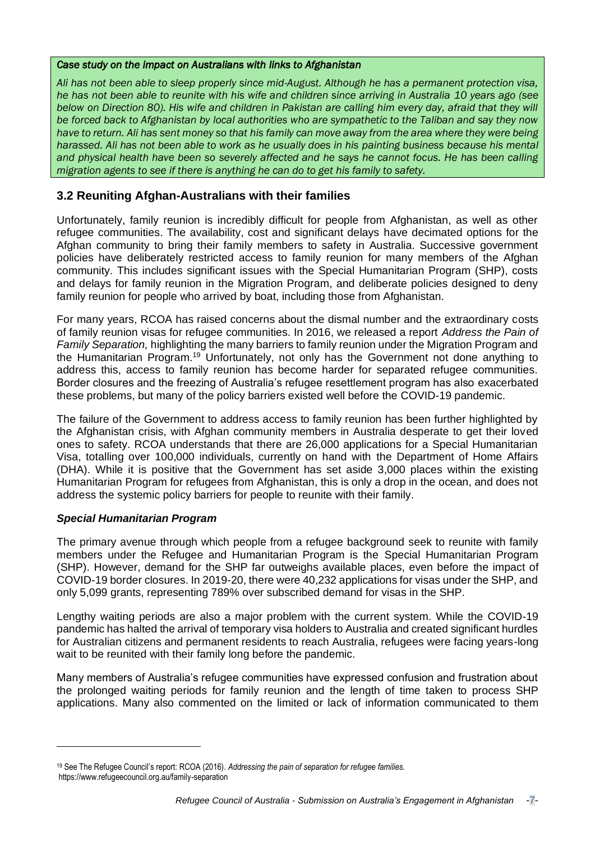#### *Case study on the impact on Australians with links to Afghanistan*

*Ali has not been able to sleep properly since mid-August. Although he has a permanent protection visa, he has not been able to reunite with his wife and children since arriving in Australia 10 years ago (see below on Direction 80). His wife and children in Pakistan are calling him every day, afraid that they will be forced back to Afghanistan by local authorities who are sympathetic to the Taliban and say they now have to return. Ali has sent money so that his family can move away from the area where they were being harassed. Ali has not been able to work as he usually does in his painting business because his mental and physical health have been so severely affected and he says he cannot focus. He has been calling migration agents to see if there is anything he can do to get his family to safety.* 

## **3.2 Reuniting Afghan-Australians with their families**

Unfortunately, family reunion is incredibly difficult for people from Afghanistan, as well as other refugee communities. The availability, cost and significant delays have decimated options for the Afghan community to bring their family members to safety in Australia. Successive government policies have deliberately restricted access to family reunion for many members of the Afghan community. This includes significant issues with the Special Humanitarian Program (SHP), costs and delays for family reunion in the Migration Program, and deliberate policies designed to deny family reunion for people who arrived by boat, including those from Afghanistan.

For many years, RCOA has raised concerns about the dismal number and the extraordinary costs of family reunion visas for refugee communities. In 2016, we released a report *Address the Pain of Family Separation,* highlighting the many barriers to family reunion under the Migration Program and the Humanitarian Program.<sup>19</sup> Unfortunately, not only has the Government not done anything to address this, access to family reunion has become harder for separated refugee communities. Border closures and the freezing of Australia's refugee resettlement program has also exacerbated these problems, but many of the policy barriers existed well before the COVID-19 pandemic.

The failure of the Government to address access to family reunion has been further highlighted by the Afghanistan crisis, with Afghan community members in Australia desperate to get their loved ones to safety. RCOA understands that there are 26,000 applications for a Special Humanitarian Visa, totalling over 100,000 individuals, currently on hand with the Department of Home Affairs (DHA). While it is positive that the Government has set aside 3,000 places within the existing Humanitarian Program for refugees from Afghanistan, this is only a drop in the ocean, and does not address the systemic policy barriers for people to reunite with their family.

## *Special Humanitarian Program*

The primary avenue through which people from a refugee background seek to reunite with family members under the Refugee and Humanitarian Program is the Special Humanitarian Program (SHP). However, demand for the SHP far outweighs available places, even before the impact of COVID-19 border closures. In 2019-20, there were 40,232 applications for visas under the SHP, and only 5,099 grants, representing 789% over subscribed demand for visas in the SHP.

Lengthy waiting periods are also a major problem with the current system. While the COVID-19 pandemic has halted the arrival of temporary visa holders to Australia and created significant hurdles for Australian citizens and permanent residents to reach Australia, refugees were facing years-long wait to be reunited with their family long before the pandemic.

Many members of Australia's refugee communities have expressed confusion and frustration about the prolonged waiting periods for family reunion and the length of time taken to process SHP applications. Many also commented on the limited or lack of information communicated to them

<sup>19</sup> See The Refugee Council's report: RCOA (2016). *Addressing the pain of separation for refugee families.* <https://www.refugeecouncil.org.au/family-separation>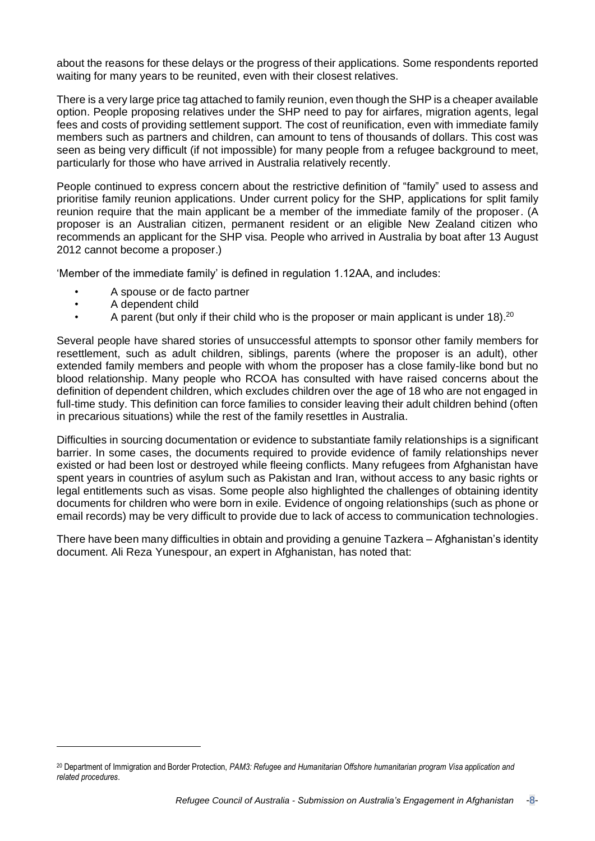about the reasons for these delays or the progress of their applications. Some respondents reported waiting for many years to be reunited, even with their closest relatives.

There is a very large price tag attached to family reunion, even though the SHP is a cheaper available option. People proposing relatives under the SHP need to pay for airfares, migration agents, legal fees and costs of providing settlement support. The cost of reunification, even with immediate family members such as partners and children, can amount to tens of thousands of dollars. This cost was seen as being very difficult (if not impossible) for many people from a refugee background to meet, particularly for those who have arrived in Australia relatively recently.

People continued to express concern about the restrictive definition of "family" used to assess and prioritise family reunion applications. Under current policy for the SHP, applications for split family reunion require that the main applicant be a member of the immediate family of the proposer. (A proposer is an Australian citizen, permanent resident or an eligible New Zealand citizen who recommends an applicant for the SHP visa. People who arrived in Australia by boat after 13 August 2012 cannot become a proposer.)

'Member of the immediate family' is defined in regulation 1.12AA, and includes:

- A spouse or de facto partner
- A dependent child
- A parent (but only if their child who is the proposer or main applicant is under 18).<sup>20</sup>

Several people have shared stories of unsuccessful attempts to sponsor other family members for resettlement, such as adult children, siblings, parents (where the proposer is an adult), other extended family members and people with whom the proposer has a close family-like bond but no blood relationship. Many people who RCOA has consulted with have raised concerns about the definition of dependent children, which excludes children over the age of 18 who are not engaged in full-time study. This definition can force families to consider leaving their adult children behind (often in precarious situations) while the rest of the family resettles in Australia.

Difficulties in sourcing documentation or evidence to substantiate family relationships is a significant barrier. In some cases, the documents required to provide evidence of family relationships never existed or had been lost or destroyed while fleeing conflicts. Many refugees from Afghanistan have spent years in countries of asylum such as Pakistan and Iran, without access to any basic rights or legal entitlements such as visas. Some people also highlighted the challenges of obtaining identity documents for children who were born in exile. Evidence of ongoing relationships (such as phone or email records) may be very difficult to provide due to lack of access to communication technologies.

There have been many difficulties in obtain and providing a genuine Tazkera – Afghanistan's identity document. Ali Reza Yunespour, an expert in Afghanistan, has noted that:

<sup>20</sup> Department of Immigration and Border Protection, *PAM3: Refugee and Humanitarian Offshore humanitarian program Visa application and related procedures*.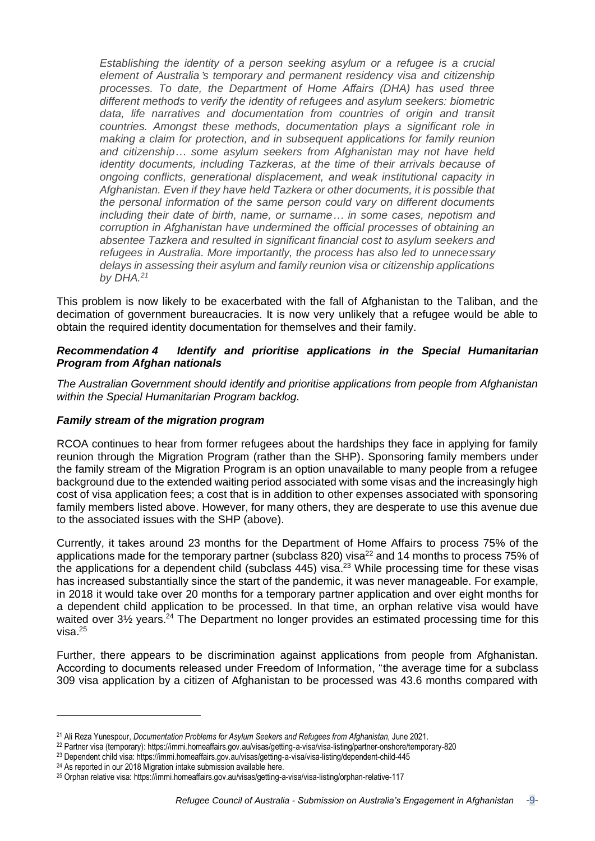*Establishing the identity of a person seeking asylum or a refugee is a crucial element of Australia*'*s temporary and permanent residency visa and citizenship processes. To date, the Department of Home Affairs (DHA) has used three different methods to verify the identity of refugees and asylum seekers: biometric data, life narratives and documentation from countries of origin and transit countries. Amongst these methods, documentation plays a significant role in making a claim for protection, and in subsequent applications for family reunion and citizenship… some asylum seekers from Afghanistan may not have held identity documents, including Tazkeras, at the time of their arrivals because of ongoing conflicts, generational displacement, and weak institutional capacity in Afghanistan. Even if they have held Tazkera or other documents, it is possible that the personal information of the same person could vary on different documents including their date of birth, name, or surname… in some cases, nepotism and corruption in Afghanistan have undermined the official processes of obtaining an absentee Tazkera and resulted in significant financial cost to asylum seekers and refugees in Australia. More importantly, the process has also led to unnecessary delays in assessing their asylum and family reunion visa or citizenship applications by DHA.<sup>21</sup>*

This problem is now likely to be exacerbated with the fall of Afghanistan to the Taliban, and the decimation of government bureaucracies. It is now very unlikely that a refugee would be able to obtain the required identity documentation for themselves and their family.

## *Recommendation 4 Identify and prioritise applications in the Special Humanitarian Program from Afghan nationals*

*The Australian Government should identify and prioritise applications from people from Afghanistan within the Special Humanitarian Program backlog.*

## *Family stream of the migration program*

RCOA continues to hear from former refugees about the hardships they face in applying for family reunion through the Migration Program (rather than the SHP). Sponsoring family members under the family stream of the Migration Program is an option unavailable to many people from a refugee background due to the extended waiting period associated with some visas and the increasingly high cost of visa application fees; a cost that is in addition to other expenses associated with sponsoring family members listed above. However, for many others, they are desperate to use this avenue due to the associated issues with the SHP (above).

Currently, it takes around 23 months for the Department of Home Affairs to process 75% of the applications made for the temporary partner (subclass 820) visa<sup>22</sup> and 14 months to process 75% of the applications for a dependent child (subclass  $445$ ) visa.<sup>23</sup> While processing time for these visas has increased substantially since the start of the pandemic, it was never manageable. For example, in 2018 it would take over 20 months for a temporary partner application and over eight months for a dependent child application to be processed. In that time, an orphan relative visa would have waited over 3<sup>1/2</sup> vears.<sup>24</sup> The Department no longer provides an estimated processing time for this visa $25$ 

Further, there appears to be discrimination against applications from people from Afghanistan. According to documents released under Freedom of Information, "the average time for a subclass 309 visa application by a citizen of Afghanistan to be processed was 43.6 months compared with

<sup>21</sup> Ali Reza Yunespour, *Documentation Problems for Asylum Seekers and Refugees from Afghanistan,* June 2021.

<sup>22</sup> Partner visa (temporary): <https://immi.homeaffairs.gov.au/visas/getting-a-visa/visa-listing/partner-onshore/temporary-820>

<sup>23</sup> Dependent child visa: <https://immi.homeaffairs.gov.au/visas/getting-a-visa/visa-listing/dependent-child-445>

<sup>&</sup>lt;sup>24</sup> As reported in our 2018 Migration intake submission available [here.](https://www.refugeecouncil.org.au/wp-content/uploads/2018/12/2018-Migration-Intake-submission.pdf)

<sup>25</sup> Orphan relative visa: <https://immi.homeaffairs.gov.au/visas/getting-a-visa/visa-listing/orphan-relative-117>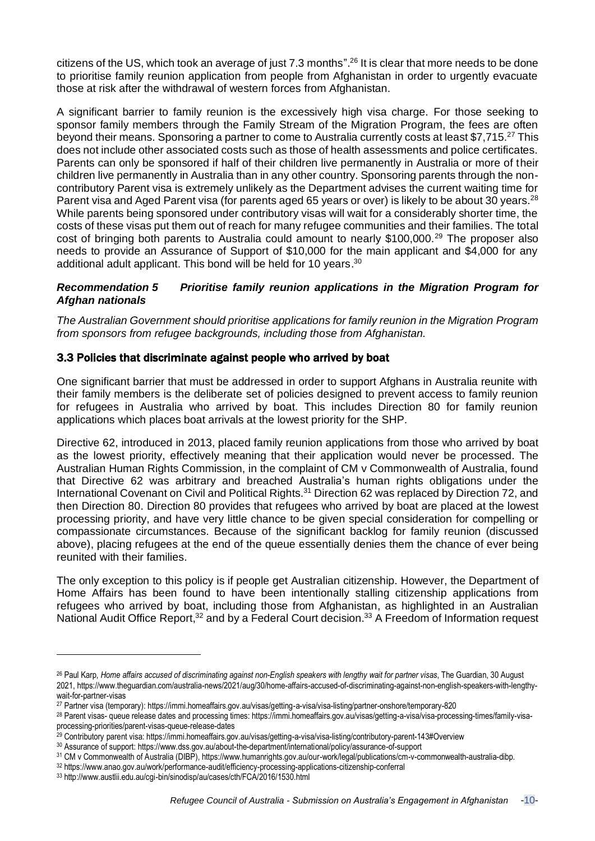citizens of the US, which took an average of just 7.3 months".<sup>26</sup> It is clear that more needs to be done to prioritise family reunion application from people from Afghanistan in order to urgently evacuate those at risk after the withdrawal of western forces from Afghanistan.

A significant barrier to family reunion is the excessively high visa charge. For those seeking to sponsor family members through the Family Stream of the Migration Program, the fees are often beyond their means. Sponsoring a partner to come to Australia currently costs at least \$7,715.<sup>27</sup> This does not include other associated costs such as those of health assessments and police certificates. Parents can only be sponsored if half of their children live permanently in Australia or more of their children live permanently in Australia than in any other country. Sponsoring parents through the noncontributory Parent visa is extremely unlikely as the Department advises the current waiting time for Parent visa and Aged Parent visa (for parents aged 65 years or over) is likely to be about 30 years.<sup>28</sup> While parents being sponsored under contributory visas will wait for a considerably shorter time, the costs of these visas put them out of reach for many refugee communities and their families. The total cost of bringing both parents to Australia could amount to nearly \$100,000.<sup>29</sup> The proposer also needs to provide an Assurance of Support of \$10,000 for the main applicant and \$4,000 for any additional adult applicant. This bond will be held for 10 years.<sup>30</sup>

## *Recommendation 5 Prioritise family reunion applications in the Migration Program for Afghan nationals*

*The Australian Government should prioritise applications for family reunion in the Migration Program from sponsors from refugee backgrounds, including those from Afghanistan.*

## 3.3 Policies that discriminate against people who arrived by boat

One significant barrier that must be addressed in order to support Afghans in Australia reunite with their family members is the deliberate set of policies designed to prevent access to family reunion for refugees in Australia who arrived by boat. This includes Direction 80 for family reunion applications which places boat arrivals at the lowest priority for the SHP.

Directive 62, introduced in 2013, placed family reunion applications from those who arrived by boat as the lowest priority, effectively meaning that their application would never be processed. The Australian Human Rights Commission, in the complaint of CM v Commonwealth of Australia, found that Directive 62 was arbitrary and breached Australia's human rights obligations under the International Covenant on Civil and Political Rights.<sup>31</sup> Direction 62 was replaced by Direction 72, and then Direction 80. Direction 80 provides that refugees who arrived by boat are placed at the lowest processing priority, and have very little chance to be given special consideration for compelling or compassionate circumstances. Because of the significant backlog for family reunion (discussed above), placing refugees at the end of the queue essentially denies them the chance of ever being reunited with their families.

The only exception to this policy is if people get Australian citizenship. However, the Department of Home Affairs has been found to have been intentionally stalling citizenship applications from refugees who arrived by boat, including those from Afghanistan, as highlighted in an Australian National Audit Office Report,<sup>32</sup> and by a Federal Court decision.<sup>33</sup> A Freedom of Information request

<sup>&</sup>lt;sup>26</sup> Paul Karp, Home affairs accused of discriminating against non-English speakers with lengthy wait for partner visas, The Guardian, 30 August 2021, https://www.theguardian.com/australia-news/2021/aug/30/home-affairs-accused-of-discriminating-against-non-english-speakers-with-lengthywait-for-partner-visas

<sup>27</sup> Partner visa (temporary): <https://immi.homeaffairs.gov.au/visas/getting-a-visa/visa-listing/partner-onshore/temporary-820>

<sup>28</sup> Parent visas- queue release dates and processing times: [https://immi.homeaffairs.gov.au/visas/getting-a-visa/visa-processing-times/family-visa](https://immi.homeaffairs.gov.au/visas/getting-a-visa/visa-processing-times/family-visa-processing-priorities/parent-visas-queue-release-dates)[processing-priorities/parent-visas-queue-release-dates](https://immi.homeaffairs.gov.au/visas/getting-a-visa/visa-processing-times/family-visa-processing-priorities/parent-visas-queue-release-dates)

<sup>29</sup> Contributory parent visa: <https://immi.homeaffairs.gov.au/visas/getting-a-visa/visa-listing/contributory-parent-143#Overview>

<sup>30</sup> Assurance of support: <https://www.dss.gov.au/about-the-department/international/policy/assurance-of-support>

<sup>31</sup> CM v Commonwealth of Australia (DIBP), [https://www.humanrights.gov.au/our-work/legal/publications/cm-v-commonwealth-australia-dibp.](https://www.humanrights.gov.au/our-work/legal/publications/cm-v-commonwealth-australia-dibp)

<sup>32</sup> <https://www.anao.gov.au/work/performance-audit/efficiency-processing-applications-citizenship-conferral>

<sup>33</sup> <http://www.austlii.edu.au/cgi-bin/sinodisp/au/cases/cth/FCA/2016/1530.html>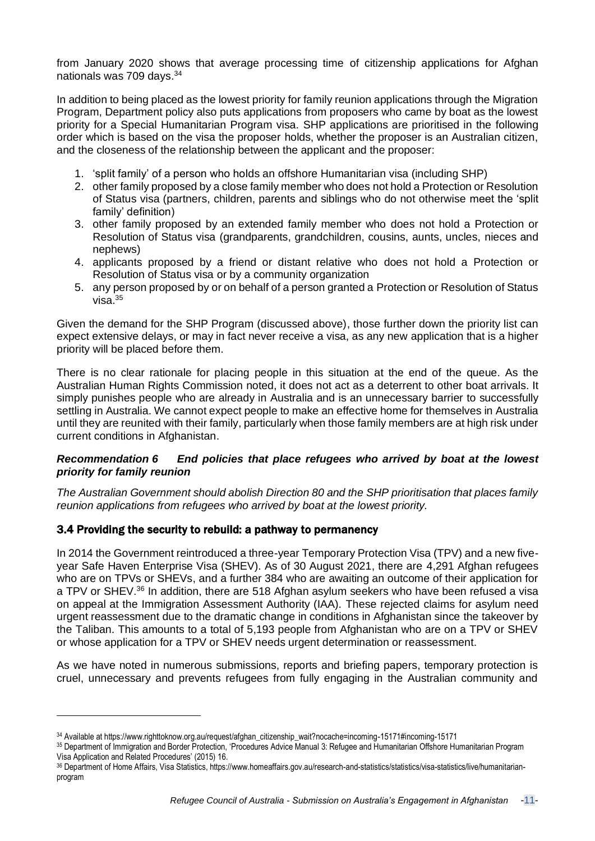from January 2020 shows that average processing time of citizenship applications for Afghan nationals was 709 days.<sup>34</sup>

In addition to being placed as the lowest priority for family reunion applications through the Migration Program, Department policy also puts applications from proposers who came by boat as the lowest priority for a Special Humanitarian Program visa. SHP applications are prioritised in the following order which is based on the visa the proposer holds, whether the proposer is an Australian citizen, and the closeness of the relationship between the applicant and the proposer:

- 1. 'split family' of a person who holds an offshore Humanitarian visa (including SHP)
- 2. other family proposed by a close family member who does not hold a Protection or Resolution of Status visa (partners, children, parents and siblings who do not otherwise meet the 'split family' definition)
- 3. other family proposed by an extended family member who does not hold a Protection or Resolution of Status visa (grandparents, grandchildren, cousins, aunts, uncles, nieces and nephews)
- 4. applicants proposed by a friend or distant relative who does not hold a Protection or Resolution of Status visa or by a community organization
- 5. any person proposed by or on behalf of a person granted a Protection or Resolution of Status visa. $35$

Given the demand for the SHP Program (discussed above), those further down the priority list can expect extensive delays, or may in fact never receive a visa, as any new application that is a higher priority will be placed before them.

There is no clear rationale for placing people in this situation at the end of the queue. As the Australian Human Rights Commission noted, it does not act as a deterrent to other boat arrivals. It simply punishes people who are already in Australia and is an unnecessary barrier to successfully settling in Australia. We cannot expect people to make an effective home for themselves in Australia until they are reunited with their family, particularly when those family members are at high risk under current conditions in Afghanistan.

## *Recommendation 6 End policies that place refugees who arrived by boat at the lowest priority for family reunion*

*The Australian Government should abolish Direction 80 and the SHP prioritisation that places family reunion applications from refugees who arrived by boat at the lowest priority.*

## 3.4 Providing the security to rebuild: a pathway to permanency

In 2014 the Government reintroduced a three-year Temporary Protection Visa (TPV) and a new fiveyear Safe Haven Enterprise Visa (SHEV). As of 30 August 2021, there are 4,291 Afghan refugees who are on TPVs or SHEVs, and a further 384 who are awaiting an outcome of their application for a TPV or SHEV.<sup>36</sup> In addition, there are 518 Afghan asylum seekers who have been refused a visa on appeal at the Immigration Assessment Authority (IAA). These rejected claims for asylum need urgent reassessment due to the dramatic change in conditions in Afghanistan since the takeover by the Taliban. This amounts to a total of 5,193 people from Afghanistan who are on a TPV or SHEV or whose application for a TPV or SHEV needs urgent determination or reassessment.

As we have noted in numerous submissions, reports and briefing papers, temporary protection is cruel, unnecessary and prevents refugees from fully engaging in the Australian community and

<sup>34</sup> Available at https://www.righttoknow.org.au/request/afghan\_citizenship\_wait?nocache=incoming-15171#incoming-15171

<sup>35</sup> Department of Immigration and Border Protection, 'Procedures Advice Manual 3: Refugee and Humanitarian Offshore Humanitarian Program Visa Application and Related Procedures' (2015) 16.

<sup>36</sup> Department of Home Affairs, Visa Statistics, https://www.homeaffairs.gov.au/research-and-statistics/statistics/visa-statistics/live/humanitarianprogram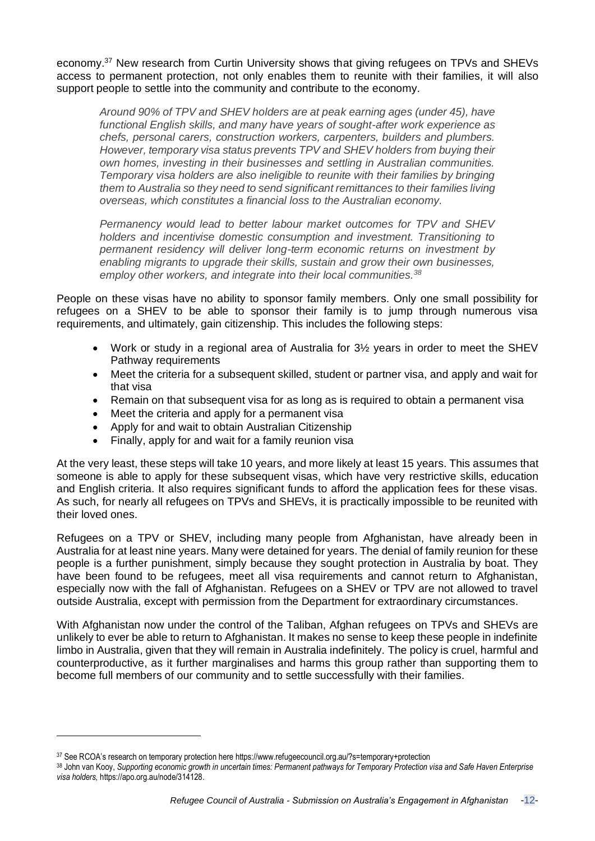economy.<sup>37</sup> New research from Curtin University shows that giving refugees on TPVs and SHEVs access to permanent protection, not only enables them to reunite with their families, it will also support people to settle into the community and contribute to the economy.

*Around 90% of TPV and SHEV holders are at peak earning ages (under 45), have functional English skills, and many have years of sought-after work experience as chefs, personal carers, construction workers, carpenters, builders and plumbers. However, temporary visa status prevents TPV and SHEV holders from buying their own homes, investing in their businesses and settling in Australian communities. Temporary visa holders are also ineligible to reunite with their families by bringing them to Australia so they need to send significant remittances to their families living overseas, which constitutes a financial loss to the Australian economy.*

*Permanency would lead to better labour market outcomes for TPV and SHEV holders and incentivise domestic consumption and investment. Transitioning to permanent residency will deliver long-term economic returns on investment by enabling migrants to upgrade their skills, sustain and grow their own businesses, employ other workers, and integrate into their local communities.<sup>38</sup>*

People on these visas have no ability to sponsor family members. Only one small possibility for refugees on a SHEV to be able to sponsor their family is to jump through numerous visa requirements, and ultimately, gain citizenship. This includes the following steps:

- Work or study in a regional area of Australia for 3½ years in order to meet the SHEV Pathway requirements
- Meet the criteria for a subsequent skilled, student or partner visa, and apply and wait for that visa
- Remain on that subsequent visa for as long as is required to obtain a permanent visa
- Meet the criteria and apply for a permanent visa
- Apply for and wait to obtain Australian Citizenship
- Finally, apply for and wait for a family reunion visa

At the very least, these steps will take 10 years, and more likely at least 15 years. This assumes that someone is able to apply for these subsequent visas, which have very restrictive skills, education and English criteria. It also requires significant funds to afford the application fees for these visas. As such, for nearly all refugees on TPVs and SHEVs, it is practically impossible to be reunited with their loved ones.

Refugees on a TPV or SHEV, including many people from Afghanistan, have already been in Australia for at least nine years. Many were detained for years. The denial of family reunion for these people is a further punishment, simply because they sought protection in Australia by boat. They have been found to be refugees, meet all visa requirements and cannot return to Afghanistan, especially now with the fall of Afghanistan. Refugees on a SHEV or TPV are not allowed to travel outside Australia, except with permission from the Department for extraordinary circumstances.

With Afghanistan now under the control of the Taliban, Afghan refugees on TPVs and SHEVs are unlikely to ever be able to return to Afghanistan. It makes no sense to keep these people in indefinite limbo in Australia, given that they will remain in Australia indefinitely. The policy is cruel, harmful and counterproductive, as it further marginalises and harms this group rather than supporting them to become full members of our community and to settle successfully with their families.

<sup>37</sup> See RCOA's research on temporary protection here <https://www.refugeecouncil.org.au/?s=temporary+protection>

<sup>38</sup> John van Kooy, Supporting economic growth in uncertain times: Permanent pathways for Temporary Protection visa and Safe Haven Enterprise *visa holders,* [https://apo.org.au/node/314128.](https://apo.org.au/node/314128)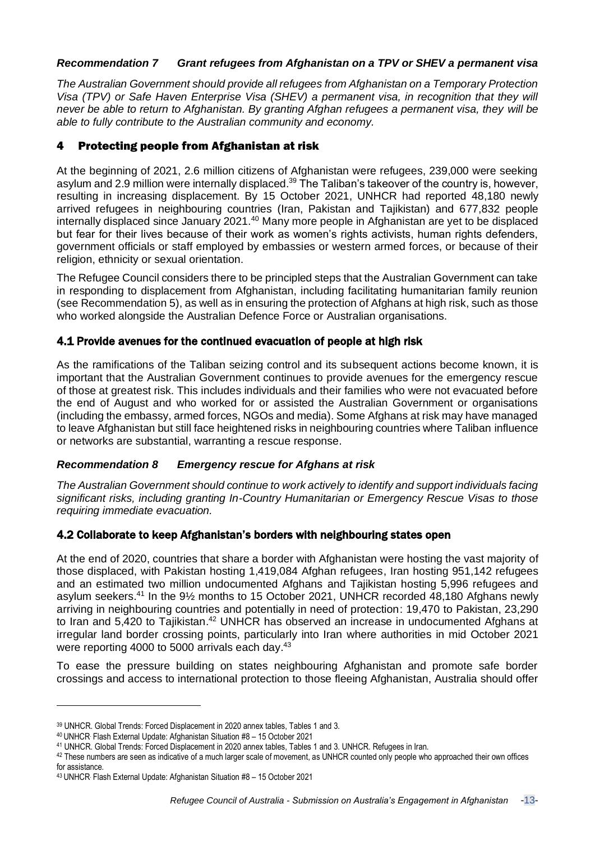## *Recommendation 7 Grant refugees from Afghanistan on a TPV or SHEV a permanent visa*

*The Australian Government should provide all refugees from Afghanistan on a Temporary Protection Visa (TPV) or Safe Haven Enterprise Visa (SHEV) a permanent visa, in recognition that they will never be able to return to Afghanistan. By granting Afghan refugees a permanent visa, they will be able to fully contribute to the Australian community and economy.*

## 4 Protecting people from Afghanistan at risk

At the beginning of 2021, 2.6 million citizens of Afghanistan were refugees, 239,000 were seeking asylum and 2.9 million were internally displaced.<sup>39</sup> The Taliban's takeover of the country is, however, resulting in increasing displacement. By 15 October 2021, UNHCR had reported 48,180 newly arrived refugees in neighbouring countries (Iran, Pakistan and Tajikistan) and 677,832 people internally displaced since January 2021.<sup>40</sup> Many more people in Afghanistan are yet to be displaced but fear for their lives because of their work as women's rights activists, human rights defenders, government officials or staff employed by embassies or western armed forces, or because of their religion, ethnicity or sexual orientation.

The Refugee Council considers there to be principled steps that the Australian Government can take in responding to displacement from Afghanistan, including facilitating humanitarian family reunion (see Recommendation 5), as well as in ensuring the protection of Afghans at high risk, such as those who worked alongside the Australian Defence Force or Australian organisations.

## 4.1 Provide avenues for the continued evacuation of people at high risk

As the ramifications of the Taliban seizing control and its subsequent actions become known, it is important that the Australian Government continues to provide avenues for the emergency rescue of those at greatest risk. This includes individuals and their families who were not evacuated before the end of August and who worked for or assisted the Australian Government or organisations (including the embassy, armed forces, NGOs and media). Some Afghans at risk may have managed to leave Afghanistan but still face heightened risks in neighbouring countries where Taliban influence or networks are substantial, warranting a rescue response.

## *Recommendation 8 Emergency rescue for Afghans at risk*

*The Australian Government should continue to work actively to identify and support individuals facing significant risks, including granting In-Country Humanitarian or Emergency Rescue Visas to those requiring immediate evacuation.* 

## 4.2 Collaborate to keep Afghanistan's borders with neighbouring states open

At the end of 2020, countries that share a border with Afghanistan were hosting the vast majority of those displaced, with Pakistan hosting 1,419,084 Afghan refugees, Iran hosting 951,142 refugees and an estimated two million undocumented Afghans and Tajikistan hosting 5,996 refugees and asylum seekers.<sup>41</sup> In the 9½ months to 15 October 2021, UNHCR recorded 48,180 Afghans newly arriving in neighbouring countries and potentially in need of protection: 19,470 to Pakistan, 23,290 to Iran and 5,420 to Tajikistan.<sup>42</sup> UNHCR has observed an increase in undocumented Afghans at irregular land border crossing points, particularly into Iran where authorities in mid October 2021 were reporting 4000 to 5000 arrivals each day.<sup>43</sup>

To ease the pressure building on states neighbouring Afghanistan and promote safe border crossings and access to international protection to those fleeing Afghanistan, Australia should offer

<sup>39</sup> UNHCR. Global Trends: Forced [Displacement](https://www.unhcr.org/flagship-reports/globaltrends/) in 2020 annex tables, Tables 1 and 3.

<sup>40</sup> UNHCR. Flash External Update: [Afghanistan](https://data2.unhcr.org/en/documents/details/88763) Situation #8 – 15 October 2021

<sup>41</sup> UNHCR. Global Trends: Forced [Displacement](https://www.unhcr.org/flagship-reports/globaltrends/) in 2020 annex tables, Tables 1 and 3. UNHCR. [Refugees](https://www.unhcr.org/ir/refugees-in-iran/) in Iran.

<sup>42</sup> These numbers are seen as indicative of a much larger scale of movement, as UNHCR counted only people who approached their own offices for assistance.

<sup>43</sup> UNHCR. Flash External Update: [Afghanistan](https://data2.unhcr.org/en/documents/details/88763) Situation #8 – 15 October 2021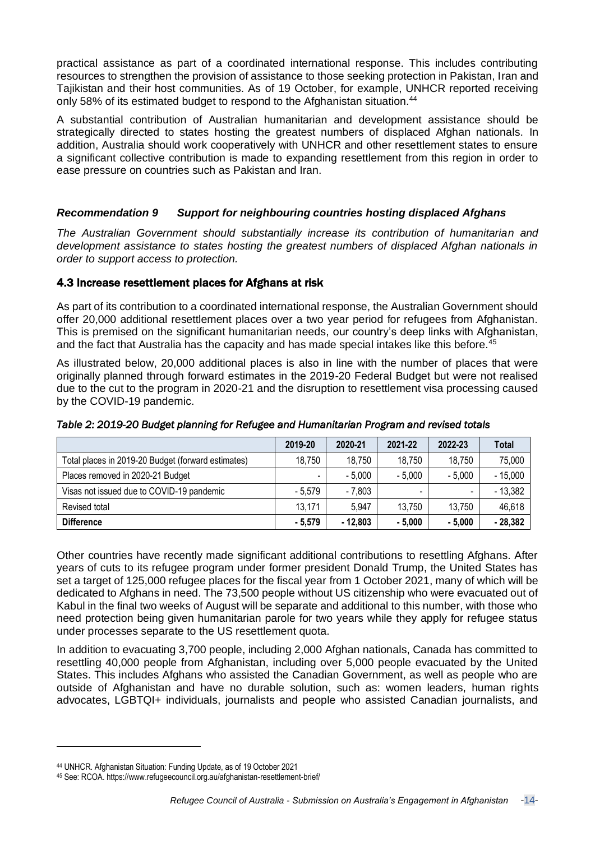practical assistance as part of a coordinated international response. This includes contributing resources to strengthen the provision of assistance to those seeking protection in Pakistan, Iran and Tajikistan and their host communities. As of 19 October, for example, UNHCR reported receiving only 58% of its estimated budget to respond to the Afghanistan situation.<sup>44</sup>

A substantial contribution of Australian humanitarian and development assistance should be strategically directed to states hosting the greatest numbers of displaced Afghan nationals. In addition, Australia should work cooperatively with UNHCR and other resettlement states to ensure a significant collective contribution is made to expanding resettlement from this region in order to ease pressure on countries such as Pakistan and Iran.

## *Recommendation 9 Support for neighbouring countries hosting displaced Afghans*

*The Australian Government should substantially increase its contribution of humanitarian and development assistance to states hosting the greatest numbers of displaced Afghan nationals in order to support access to protection.* 

## 4.3 Increase resettlement places for Afghans at risk

As part of its contribution to a coordinated international response, the Australian Government should offer 20,000 additional resettlement places over a two year period for refugees from Afghanistan. This is premised on the significant humanitarian needs, our country's deep links with Afghanistan, and the fact that Australia has the capacity and has made special intakes like this before.<sup>45</sup>

As illustrated below, 20,000 additional places is also in line with the number of places that were originally planned through forward estimates in the 2019-20 Federal Budget but were not realised due to the cut to the program in 2020-21 and the disruption to resettlement visa processing caused by the COVID-19 pandemic.

|                                                    | 2019-20  | 2020-21   | 2021-22  | 2022-23                  | Total     |
|----------------------------------------------------|----------|-----------|----------|--------------------------|-----------|
| Total places in 2019-20 Budget (forward estimates) | 18,750   | 18,750    | 18,750   | 18,750                   | 75,000    |
| Places removed in 2020-21 Budget                   | -        | $-5,000$  | $-5,000$ | $-5,000$                 | $-15,000$ |
| Visas not issued due to COVID-19 pandemic          | $-5.579$ | $-7,803$  |          | $\overline{\phantom{0}}$ | $-13,382$ |
| Revised total                                      | 13,171   | 5,947     | 13,750   | 13,750                   | 46,618    |
| <b>Difference</b>                                  | $-5.579$ | $-12.803$ | $-5.000$ | $-5.000$                 | $-28,382$ |

*Table 2: 2019-20 Budget planning for Refugee and Humanitarian Program and revised totals* 

Other countries have recently made significant additional contributions to resettling Afghans. After years of cuts to its refugee program under former president Donald Trump, the United States has set a target of 125,000 refugee places for the fiscal year from 1 October 2021, many of which will be dedicated to Afghans in need. The 73,500 people without US citizenship who were evacuated out of Kabul in the final two weeks of August will be separate and additional to this number, with those who need protection being given humanitarian parole for two years while they apply for refugee status under processes separate to the US resettlement quota.

In addition to evacuating 3,700 people, including 2,000 Afghan nationals, Canada has committed to resettling 40,000 people from Afghanistan, including over 5,000 people evacuated by the United States. This includes Afghans who assisted the Canadian Government, as well as people who are outside of Afghanistan and have no durable solution, such as: women leaders, human rights advocates, LGBTQI+ individuals, journalists and people who assisted Canadian journalists, and

<sup>44</sup> UNHCR. [Afghanistan](https://data2.unhcr.org/en/situations/afghanistan) Situation: Funding Update, as of 19 October 2021

<sup>45</sup> See: RCOA. <https://www.refugeecouncil.org.au/afghanistan-resettlement-brief/>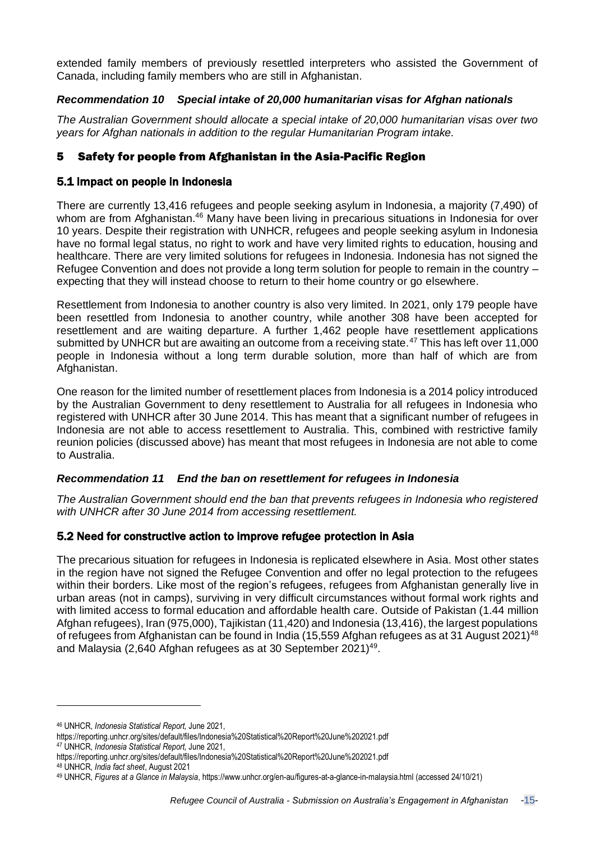extended family members of previously resettled interpreters who assisted the Government of Canada, including family members who are still in Afghanistan.

## *Recommendation 10 Special intake of 20,000 humanitarian visas for Afghan nationals*

*The Australian Government should allocate a special intake of 20,000 humanitarian visas over two years for Afghan nationals in addition to the regular Humanitarian Program intake.* 

## 5 Safety for people from Afghanistan in the Asia-Pacific Region

## 5.1 Impact on people in Indonesia

There are currently 13,416 refugees and people seeking asylum in Indonesia, a majority (7,490) of whom are from Afghanistan.<sup>46</sup> Many have been living in precarious situations in Indonesia for over 10 years. Despite their registration with UNHCR, refugees and people seeking asylum in Indonesia have no formal legal status, no right to work and have very limited rights to education, housing and healthcare. There are very limited solutions for refugees in Indonesia. Indonesia has not signed the Refugee Convention and does not provide a long term solution for people to remain in the country – expecting that they will instead choose to return to their home country or go elsewhere.

Resettlement from Indonesia to another country is also very limited. In 2021, only 179 people have been resettled from Indonesia to another country, while another 308 have been accepted for resettlement and are waiting departure. A further 1,462 people have resettlement applications submitted by UNHCR but are awaiting an outcome from a receiving state.<sup>47</sup> This has left over 11,000 people in Indonesia without a long term durable solution, more than half of which are from Afghanistan.

One reason for the limited number of resettlement places from Indonesia is a 2014 policy introduced by the Australian Government to deny resettlement to Australia for all refugees in Indonesia who registered with UNHCR after 30 June 2014. This has meant that a significant number of refugees in Indonesia are not able to access resettlement to Australia. This, combined with restrictive family reunion policies (discussed above) has meant that most refugees in Indonesia are not able to come to Australia.

## *Recommendation 11 End the ban on resettlement for refugees in Indonesia*

*The Australian Government should end the ban that prevents refugees in Indonesia who registered with UNHCR after 30 June 2014 from accessing resettlement.*

## 5.2 Need for constructive action to improve refugee protection in Asia

The precarious situation for refugees in Indonesia is replicated elsewhere in Asia. Most other states in the region have not signed the Refugee Convention and offer no legal protection to the refugees within their borders. Like most of the region's refugees, refugees from Afghanistan generally live in urban areas (not in camps), surviving in very difficult circumstances without formal work rights and with limited access to formal education and affordable health care. Outside of Pakistan (1.44 million Afghan refugees), Iran (975,000), Tajikistan (11,420) and Indonesia (13,416), the largest populations of refugees from Afghanistan can be found in India (15,559 Afghan refugees as at 31 August 2021)<sup>48</sup> and Malaysia (2,640 Afghan refugees as at 30 September 2021)<sup>49</sup>.

<sup>46</sup> UNHCR, *Indonesia Statistical Report,* June 2021,

<https://reporting.unhcr.org/sites/default/files/Indonesia%20Statistical%20Report%20June%202021.pdf> <sup>47</sup> UNHCR, *Indonesia Statistical Report,* June 2021,

<https://reporting.unhcr.org/sites/default/files/Indonesia%20Statistical%20Report%20June%202021.pdf> <sup>48</sup> UNHCR, *India fact sheet*, August 2021

<sup>49</sup> UNHCR, *Figures at a Glance in Malaysia*[, https://www.unhcr.org/en-au/figures-at-a-glance-in-malaysia.html](https://www.unhcr.org/en-au/figures-at-a-glance-in-malaysia.html) (accessed 24/10/21)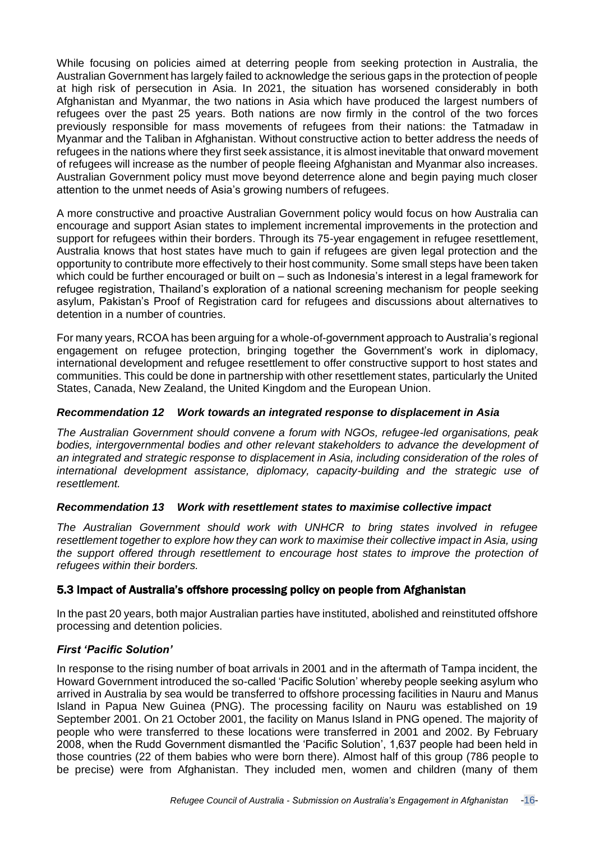While focusing on policies aimed at deterring people from seeking protection in Australia, the Australian Government has largely failed to acknowledge the serious gaps in the protection of people at high risk of persecution in Asia. In 2021, the situation has worsened considerably in both Afghanistan and Myanmar, the two nations in Asia which have produced the largest numbers of refugees over the past 25 years. Both nations are now firmly in the control of the two forces previously responsible for mass movements of refugees from their nations: the Tatmadaw in Myanmar and the Taliban in Afghanistan. Without constructive action to better address the needs of refugees in the nations where they first seek assistance, it is almost inevitable that onward movement of refugees will increase as the number of people fleeing Afghanistan and Myanmar also increases. Australian Government policy must move beyond deterrence alone and begin paying much closer attention to the unmet needs of Asia's growing numbers of refugees.

A more constructive and proactive Australian Government policy would focus on how Australia can encourage and support Asian states to implement incremental improvements in the protection and support for refugees within their borders. Through its 75-year engagement in refugee resettlement, Australia knows that host states have much to gain if refugees are given legal protection and the opportunity to contribute more effectively to their host community. Some small steps have been taken which could be further encouraged or built on – such as Indonesia's interest in a legal framework for refugee registration, Thailand's exploration of a national screening mechanism for people seeking asylum, Pakistan's Proof of Registration card for refugees and discussions about alternatives to detention in a number of countries.

For many years, RCOA has been arguing for a whole-of-government approach to Australia's regional engagement on refugee protection, bringing together the Government's work in diplomacy, international development and refugee resettlement to offer constructive support to host states and communities. This could be done in partnership with other resettlement states, particularly the United States, Canada, New Zealand, the United Kingdom and the European Union.

## *Recommendation 12 Work towards an integrated response to displacement in Asia*

*The Australian Government should convene a forum with NGOs, refugee-led organisations, peak bodies, intergovernmental bodies and other relevant stakeholders to advance the development of an integrated and strategic response to displacement in Asia, including consideration of the roles of international development assistance, diplomacy, capacity-building and the strategic use of resettlement.*

## *Recommendation 13 Work with resettlement states to maximise collective impact*

*The Australian Government should work with UNHCR to bring states involved in refugee resettlement together to explore how they can work to maximise their collective impact in Asia, using the support offered through resettlement to encourage host states to improve the protection of refugees within their borders.*

## 5.3 Impact of Australia's offshore processing policy on people from Afghanistan

In the past 20 years, both major Australian parties have instituted, abolished and reinstituted offshore processing and detention policies.

## *First 'Pacific Solution'*

In response to the rising number of boat arrivals in 2001 and in the aftermath of Tampa incident, the Howard Government introduced the so-called 'Pacific Solution' whereby people seeking asylum who arrived in Australia by sea would be transferred to offshore processing facilities in Nauru and Manus Island in Papua New Guinea (PNG). The processing facility on Nauru was established on 19 September 2001. On 21 October 2001, the facility on Manus Island in PNG opened. The majority of people who were transferred to these locations were transferred in 2001 and 2002. By February 2008, when the Rudd Government dismantled the 'Pacific Solution', 1,637 people had been held in those countries (22 of them babies who were born there). Almost half of this group (786 people to be precise) were from Afghanistan. They included men, women and children (many of them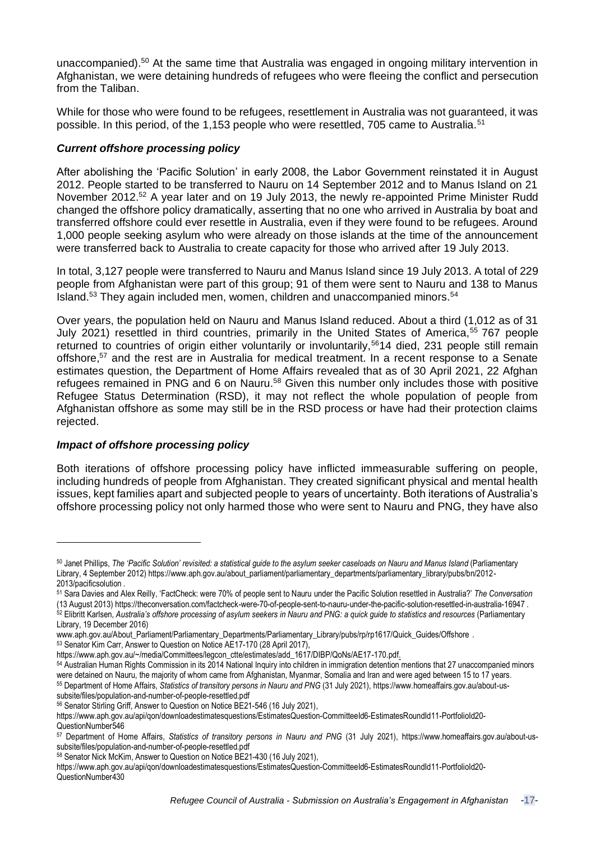unaccompanied).<sup>50</sup> At the same time that Australia was engaged in ongoing military intervention in Afghanistan, we were detaining hundreds of refugees who were fleeing the conflict and persecution from the Taliban.

While for those who were found to be refugees, resettlement in Australia was not guaranteed, it was possible. In this period, of the 1,153 people who were resettled, 705 came to Australia.<sup>51</sup>

## *Current offshore processing policy*

After abolishing the 'Pacific Solution' in early 2008, the Labor Government reinstated it in August 2012. People started to be transferred to Nauru on 14 September 2012 and to Manus Island on 21 November 2012.<sup>52</sup> A year later and on 19 July 2013, the newly re-appointed Prime Minister Rudd changed the offshore policy dramatically, asserting that no one who arrived in Australia by boat and transferred offshore could ever resettle in Australia, even if they were found to be refugees. Around 1,000 people seeking asylum who were already on those islands at the time of the announcement were transferred back to Australia to create capacity for those who arrived after 19 July 2013.

In total, 3,127 people were transferred to Nauru and Manus Island since 19 July 2013. A total of 229 people from Afghanistan were part of this group; 91 of them were sent to Nauru and 138 to Manus Island.<sup>53</sup> They again included men, women, children and unaccompanied minors.<sup>54</sup>

Over years, the population held on Nauru and Manus Island reduced. About a third (1,012 as of 31 July 2021) resettled in third countries, primarily in the United States of America,<sup>55</sup> 767 people returned to countries of origin either voluntarily or involuntarily,<sup>56</sup>14 died, 231 people still remain offshore,<sup>57</sup> and the rest are in Australia for medical treatment. In a recent response to a Senate estimates question, the Department of Home Affairs revealed that as of 30 April 2021, 22 Afghan refugees remained in PNG and 6 on Nauru.<sup>58</sup> Given this number only includes those with positive Refugee Status Determination (RSD), it may not reflect the whole population of people from Afghanistan offshore as some may still be in the RSD process or have had their protection claims rejected.

## *Impact of offshore processing policy*

Both iterations of offshore processing policy have inflicted immeasurable suffering on people, including hundreds of people from Afghanistan. They created significant physical and mental health issues, kept families apart and subjected people to years of uncertainty. Both iterations of Australia's offshore processing policy not only harmed those who were sent to Nauru and PNG, they have also

<sup>53</sup> Senator Kim Carr, Answer to Question on Notice AE17-170 (28 April 2017),

[subsite/files/population-and-number-of-people-resettled.pdf](https://www.homeaffairs.gov.au/about-us-subsite/files/population-and-number-of-people-resettled.pdf)

<sup>50</sup> Janet Phillips, The 'Pacific Solution' revisited: a statistical guide to the asylum seeker caseloads on Nauru and Manus Island (Parliamentary Library, 4 September 2012) [https://www.aph.gov.au/about\\_parliament/parliamentary\\_departments/parliamentary\\_library/pubs/bn/2012-](https://www.aph.gov.au/about_parliament/parliamentary_departments/parliamentary_library/pubs/bn/2012-2013/pacificsolution) [2013/pacificsolution](https://www.aph.gov.au/about_parliament/parliamentary_departments/parliamentary_library/pubs/bn/2012-2013/pacificsolution) *.*

<sup>51</sup> Sara Davies and Alex Reilly, 'FactCheck: were 70% of people sent to Nauru under the Pacific Solution resettled in Australia?' *The Conversation* (13 August 2013) <https://theconversation.com/factcheck-were-70-of-people-sent-to-nauru-under-the-pacific-solution-resettled-in-australia-16947> . 52 Elibritt Karlsen, Australia's offshore processing of asylum seekers in Nauru and PNG: a quick guide to statistics and resources (Parliamentary

Library, 19 December 2016)

[www.aph.gov.au/About\\_Parliament/Parliamentary\\_Departments/Parliamentary\\_Library/pubs/rp/rp1617/Quick\\_Guides/Offshore](http://www.aph.gov.au/About_Parliament/Parliamentary_Departments/Parliamentary_Library/pubs/rp/rp1617/Quick_Guides/Offshore) .

[https://www.aph.gov.au/~/media/Committees/legcon\\_ctte/estimates/add\\_1617/DIBP/QoNs/AE17-170.pdf.](https://www.aph.gov.au/~/media/Committees/legcon_ctte/estimates/add_1617/DIBP/QoNs/AE17-170.pdf)

<sup>54</sup> Australian Human Rights Commission in its 2014 National Inquiry into children in [immigration](https://humanrights.gov.au/our-work/asylum-seekers-and-refugees/publications/forgotten-children-national-inquiry-children) detention mentions that 27 unaccompanied minors were detained on Nauru, the majority of whom came from Afghanistan, Myanmar, Somalia and Iran and were aged between 15 to 17 years. <sup>55</sup> Department of Home Affairs, *Statistics of transitory persons in Nauru and PNG* (31 July 2021), [https://www.homeaffairs.gov.au/about-us-](https://www.homeaffairs.gov.au/about-us-subsite/files/population-and-number-of-people-resettled.pdf)

<sup>56</sup> Senator Stirling Griff, Answer to Question on Notice BE21-546 (16 July 2021),

[https://www.aph.gov.au/api/qon/downloadestimatesquestions/EstimatesQuestion-CommitteeId6-EstimatesRoundId11-PortfolioId20-](https://www.aph.gov.au/api/qon/downloadestimatesquestions/EstimatesQuestion-CommitteeId6-EstimatesRoundId11-PortfolioId20-QuestionNumber546) [QuestionNumber546](https://www.aph.gov.au/api/qon/downloadestimatesquestions/EstimatesQuestion-CommitteeId6-EstimatesRoundId11-PortfolioId20-QuestionNumber546)

<sup>57</sup> Department of Home Affairs, *Statistics of transitory persons in Nauru and PNG* (31 July 2021), [https://www.homeaffairs.gov.au/about-us](https://www.homeaffairs.gov.au/about-us-subsite/files/population-and-number-of-people-resettled.pdf)[subsite/files/population-and-number-of-people-resettled.pdf](https://www.homeaffairs.gov.au/about-us-subsite/files/population-and-number-of-people-resettled.pdf)

<sup>58</sup> Senator Nick McKim, Answer to Question on Notice BE21-430 (16 July 2021),

[https://www.aph.gov.au/api/qon/downloadestimatesquestions/EstimatesQuestion-CommitteeId6-EstimatesRoundId11-PortfolioId20-](https://www.aph.gov.au/api/qon/downloadestimatesquestions/EstimatesQuestion-CommitteeId6-EstimatesRoundId11-PortfolioId20-QuestionNumber430) [QuestionNumber430](https://www.aph.gov.au/api/qon/downloadestimatesquestions/EstimatesQuestion-CommitteeId6-EstimatesRoundId11-PortfolioId20-QuestionNumber430)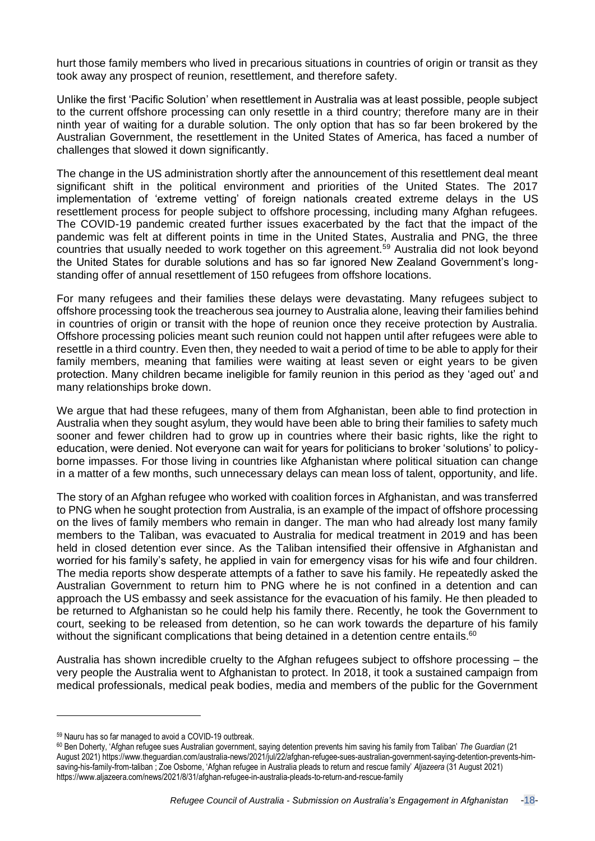hurt those family members who lived in precarious situations in countries of origin or transit as they took away any prospect of reunion, resettlement, and therefore safety.

Unlike the first 'Pacific Solution' when resettlement in Australia was at least possible, people subject to the current offshore processing can only resettle in a third country; therefore many are in their ninth year of waiting for a durable solution. The only option that has so far been brokered by the Australian Government, the resettlement in the United States of America, has faced a number of challenges that slowed it down significantly.

The change in the US administration shortly after the announcement of this resettlement deal meant significant shift in the political environment and priorities of the United States. The 2017 implementation of 'extreme vetting' of foreign nationals created extreme delays in the US resettlement process for people subject to offshore processing, including many Afghan refugees. The COVID-19 pandemic created further issues exacerbated by the fact that the impact of the pandemic was felt at different points in time in the United States, Australia and PNG, the three countries that usually needed to work together on this agreement.<sup>59</sup> Australia did not look beyond the United States for durable solutions and has so far ignored New Zealand Government's longstanding offer of annual resettlement of 150 refugees from offshore locations.

For many refugees and their families these delays were devastating. Many refugees subject to offshore processing took the treacherous sea journey to Australia alone, leaving their families behind in countries of origin or transit with the hope of reunion once they receive protection by Australia. Offshore processing policies meant such reunion could not happen until after refugees were able to resettle in a third country. Even then, they needed to wait a period of time to be able to apply for their family members, meaning that families were waiting at least seven or eight years to be given protection. Many children became ineligible for family reunion in this period as they 'aged out' and many relationships broke down.

We argue that had these refugees, many of them from Afghanistan, been able to find protection in Australia when they sought asylum, they would have been able to bring their families to safety much sooner and fewer children had to grow up in countries where their basic rights, like the right to education, were denied. Not everyone can wait for years for politicians to broker 'solutions' to policyborne impasses. For those living in countries like Afghanistan where political situation can change in a matter of a few months, such unnecessary delays can mean loss of talent, opportunity, and life.

The story of an Afghan refugee who worked with coalition forces in Afghanistan, and was transferred to PNG when he sought protection from Australia, is an example of the impact of offshore processing on the lives of family members who remain in danger. The man who had already lost many family members to the Taliban, was evacuated to Australia for medical treatment in 2019 and has been held in closed detention ever since. As the Taliban intensified their offensive in Afghanistan and worried for his family's safety, he applied in vain for emergency visas for his wife and four children. The media reports show desperate attempts of a father to save his family. He repeatedly asked the Australian Government to return him to PNG where he is not confined in a detention and can approach the US embassy and seek assistance for the evacuation of his family. He then pleaded to be returned to Afghanistan so he could help his family there. Recently, he took the Government to court, seeking to be released from detention, so he can work towards the departure of his family without the significant complications that being detained in a detention centre entails.<sup>60</sup>

Australia has shown incredible cruelty to the Afghan refugees subject to offshore processing – the very people the Australia went to Afghanistan to protect. In 2018, it took a sustained campaign from medical professionals, medical peak bodies, media and members of the public for the Government

<sup>59</sup> Nauru has so far managed to avoid a COVID-19 outbreak.

<sup>60</sup> Ben Doherty, 'Afghan refugee sues Australian government, saying detention prevents him saving his family from Taliban' *The Guardian* (21 August 2021) [https://www.theguardian.com/australia-news/2021/jul/22/afghan-refugee-sues-australian-government-saying-detention-prevents-him](https://www.theguardian.com/australia-news/2021/jul/22/afghan-refugee-sues-australian-government-saying-detention-prevents-him-saving-his-family-from-taliban)[saving-his-family-from-taliban](https://www.theguardian.com/australia-news/2021/jul/22/afghan-refugee-sues-australian-government-saying-detention-prevents-him-saving-his-family-from-taliban) ; Zoe Osborne, 'Afghan refugee in Australia pleads to return and rescue family' *Aljazeera* (31 August 2021) <https://www.aljazeera.com/news/2021/8/31/afghan-refugee-in-australia-pleads-to-return-and-rescue-family>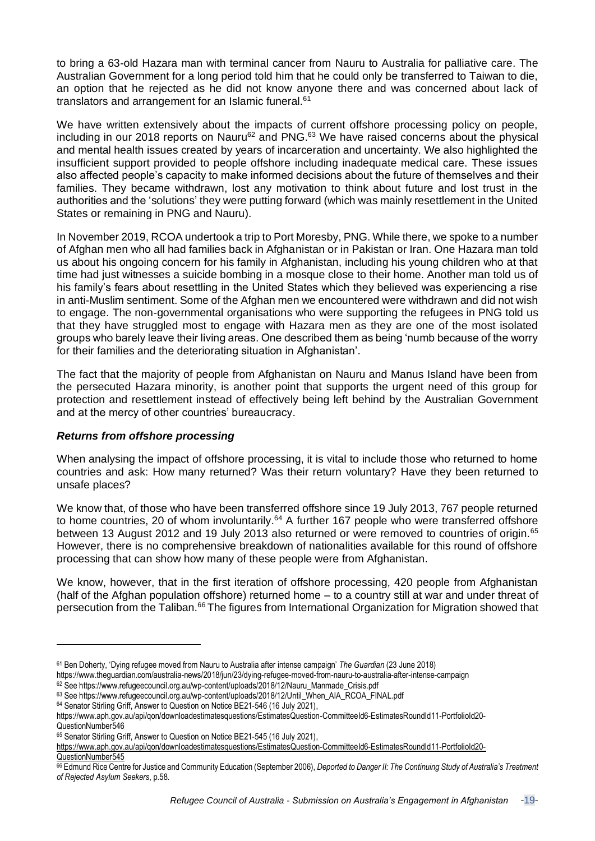to bring a 63-old Hazara man with terminal cancer from Nauru to Australia for palliative care. The Australian Government for a long period told him that he could only be transferred to Taiwan to die, an option that he rejected as he did not know anyone there and was concerned about lack of translators and arrangement for an Islamic funeral.<sup>61</sup>

We have written extensively about the impacts of current offshore processing policy on people, including in our 2018 reports on Nauru<sup>62</sup> and PNG.<sup>63</sup> We have raised concerns about the physical and mental health issues created by years of incarceration and uncertainty. We also highlighted the insufficient support provided to people offshore including inadequate medical care. These issues also affected people's capacity to make informed decisions about the future of themselves and their families. They became withdrawn, lost any motivation to think about future and lost trust in the authorities and the 'solutions' they were putting forward (which was mainly resettlement in the United States or remaining in PNG and Nauru).

In November 2019, RCOA undertook a trip to Port Moresby, PNG. While there, we spoke to a number of Afghan men who all had families back in Afghanistan or in Pakistan or Iran. One Hazara man told us about his ongoing concern for his family in Afghanistan, including his young children who at that time had just witnesses a suicide bombing in a mosque close to their home. Another man told us of his family's fears about resettling in the United States which they believed was experiencing a rise in anti-Muslim sentiment. Some of the Afghan men we encountered were withdrawn and did not wish to engage. The non-governmental organisations who were supporting the refugees in PNG told us that they have struggled most to engage with Hazara men as they are one of the most isolated groups who barely leave their living areas. One described them as being 'numb because of the worry for their families and the deteriorating situation in Afghanistan'.

The fact that the majority of people from Afghanistan on Nauru and Manus Island have been from the persecuted Hazara minority, is another point that supports the urgent need of this group for protection and resettlement instead of effectively being left behind by the Australian Government and at the mercy of other countries' bureaucracy.

## *Returns from offshore processing*

When analysing the impact of offshore processing, it is vital to include those who returned to home countries and ask: How many returned? Was their return voluntary? Have they been returned to unsafe places?

We know that, of those who have been transferred offshore since 19 July 2013, 767 people returned to home countries, 20 of whom involuntarily.<sup>64</sup> A further 167 people who were transferred offshore between 13 August 2012 and 19 July 2013 also returned or were removed to countries of origin.<sup>65</sup> However, there is no comprehensive breakdown of nationalities available for this round of offshore processing that can show how many of these people were from Afghanistan.

We know, however, that in the first iteration of offshore processing, 420 people from Afghanistan (half of the Afghan population offshore) returned home – to a country still at war and under threat of persecution from the Taliban.<sup>66</sup> The figures from International Organization for Migration showed that

<sup>61</sup> Ben Doherty, 'Dying refugee moved from Nauru to Australia after intense campaign' *The Guardian* (23 June 2018)

<https://www.theguardian.com/australia-news/2018/jun/23/dying-refugee-moved-from-nauru-to-australia-after-intense-campaign>

<sup>62</sup> See [https://www.refugeecouncil.org.au/wp-content/uploads/2018/12/Nauru\\_Manmade\\_Crisis.pdf](https://www.refugeecouncil.org.au/wp-content/uploads/2018/12/Nauru_Manmade_Crisis.pdf)

<sup>63</sup> See https://www.refugeecouncil.org.au/wp-content/uploads/2018/12/Until\_When\_AIA\_RCOA\_FINAL.pdf

<sup>64</sup> Senator Stirling Griff, Answer to Question on Notice BE21-546 (16 July 2021),

[https://www.aph.gov.au/api/qon/downloadestimatesquestions/EstimatesQuestion-CommitteeId6-EstimatesRoundId11-PortfolioId20-](https://www.aph.gov.au/api/qon/downloadestimatesquestions/EstimatesQuestion-CommitteeId6-EstimatesRoundId11-PortfolioId20-QuestionNumber546) [QuestionNumber546](https://www.aph.gov.au/api/qon/downloadestimatesquestions/EstimatesQuestion-CommitteeId6-EstimatesRoundId11-PortfolioId20-QuestionNumber546)

<sup>65</sup> Senator Stirling Griff, Answer to Question on Notice BE21-545 (16 July 2021),

https://www.aph.gov.au/api/qon/downloadestimatesquestions/EstimatesQuestion-CommitteeId6-EstimatesRoundId11-PortfolioId20-

QuestionNumber545

<sup>66</sup> Edmund Rice Centre for Justice and Community Education (September 2006), *Deported to Danger II: The Continuing Study of Australia's Treatment of Rejected Asylum Seekers*, p.58.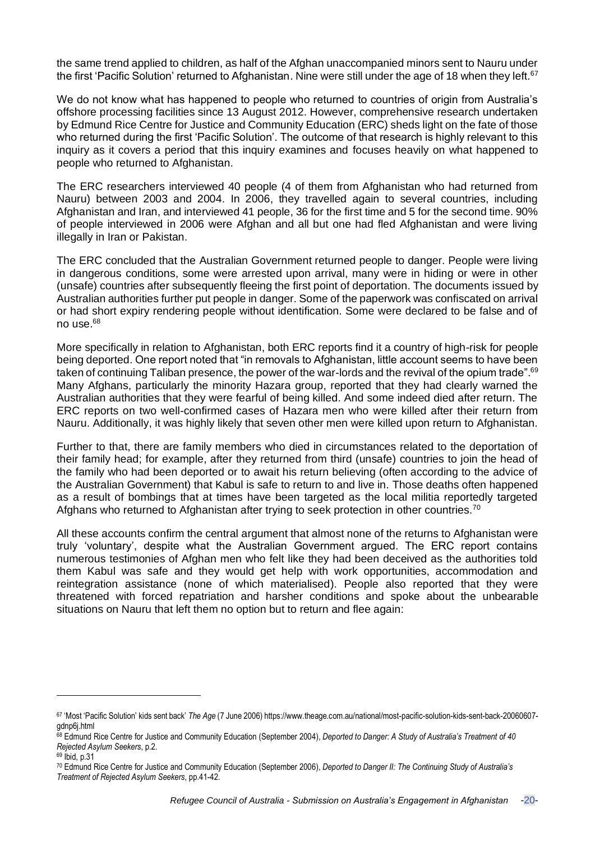the same trend applied to children, as half of the Afghan unaccompanied minors sent to Nauru under the first 'Pacific Solution' returned to Afghanistan. Nine were still under the age of 18 when they left.<sup>67</sup>

We do not know what has happened to people who returned to countries of origin from Australia's offshore processing facilities since 13 August 2012. However, comprehensive research undertaken by Edmund Rice Centre for Justice and Community Education (ERC) sheds light on the fate of those who returned during the first 'Pacific Solution'. The outcome of that research is highly relevant to this inquiry as it covers a period that this inquiry examines and focuses heavily on what happened to people who returned to Afghanistan.

The ERC researchers interviewed 40 people (4 of them from Afghanistan who had returned from Nauru) between 2003 and 2004. In 2006, they travelled again to several countries, including Afghanistan and Iran, and interviewed 41 people, 36 for the first time and 5 for the second time. 90% of people interviewed in 2006 were Afghan and all but one had fled Afghanistan and were living illegally in Iran or Pakistan.

The ERC concluded that the Australian Government returned people to danger. People were living in dangerous conditions, some were arrested upon arrival, many were in hiding or were in other (unsafe) countries after subsequently fleeing the first point of deportation. The documents issued by Australian authorities further put people in danger. Some of the paperwork was confiscated on arrival or had short expiry rendering people without identification. Some were declared to be false and of no use.<sup>68</sup>

More specifically in relation to Afghanistan, both ERC reports find it a country of high-risk for people being deported. One report noted that "in removals to Afghanistan, little account seems to have been taken of continuing Taliban presence, the power of the war-lords and the revival of the opium trade".<sup>69</sup> Many Afghans, particularly the minority Hazara group, reported that they had clearly warned the Australian authorities that they were fearful of being killed. And some indeed died after return. The ERC reports on two well-confirmed cases of Hazara men who were killed after their return from Nauru. Additionally, it was highly likely that seven other men were killed upon return to Afghanistan.

Further to that, there are family members who died in circumstances related to the deportation of their family head; for example, after they returned from third (unsafe) countries to join the head of the family who had been deported or to await his return believing (often according to the advice of the Australian Government) that Kabul is safe to return to and live in. Those deaths often happened as a result of bombings that at times have been targeted as the local militia reportedly targeted Afghans who returned to Afghanistan after trying to seek protection in other countries.<sup>70</sup>

All these accounts confirm the central argument that almost none of the returns to Afghanistan were truly 'voluntary', despite what the Australian Government argued. The ERC report contains numerous testimonies of Afghan men who felt like they had been deceived as the authorities told them Kabul was safe and they would get help with work opportunities, accommodation and reintegration assistance (none of which materialised). People also reported that they were threatened with forced repatriation and harsher conditions and spoke about the unbearable situations on Nauru that left them no option but to return and flee again:

<sup>67</sup> 'Most 'Pacific Solution' kids sent back' *The Age* (7 June 2006) [https://www.theage.com.au/national/most-pacific-solution-kids-sent-back-20060607](https://www.theage.com.au/national/most-pacific-solution-kids-sent-back-20060607-gdnp6j.html) [gdnp6j.html](https://www.theage.com.au/national/most-pacific-solution-kids-sent-back-20060607-gdnp6j.html)

<sup>68</sup> Edmund Rice Centre for Justice and Community Education (September 2004), *Deported to Danger: A Study of Australia's Treatment of 40 Rejected Asylum Seekers*, p.2.

<sup>69</sup> Ibid, p.31

<sup>70</sup> Edmund Rice Centre for Justice and Community Education (September 2006), *Deported to Danger II: The Continuing Study of Australia's Treatment of Rejected Asylum Seekers*, pp.41-42.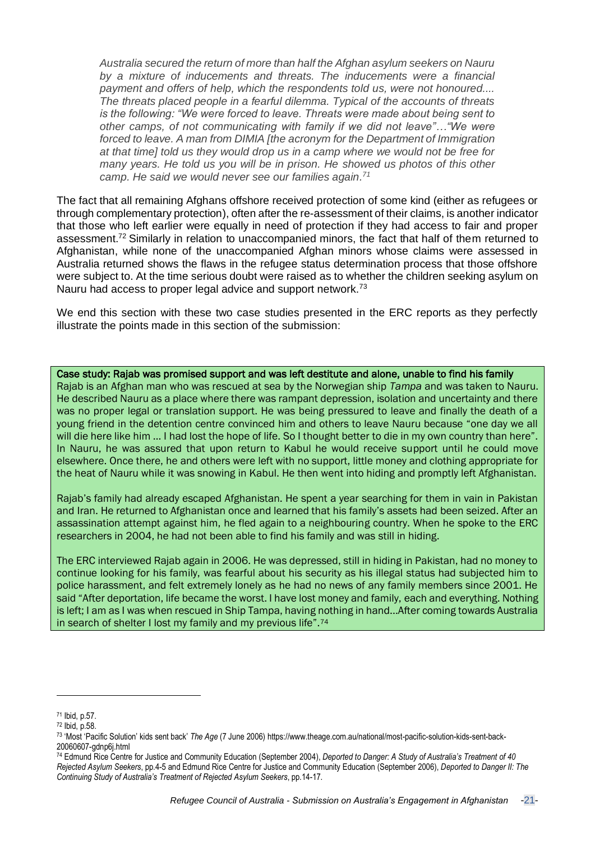*Australia secured the return of more than half the Afghan asylum seekers on Nauru by a mixture of inducements and threats. The inducements were a financial payment and offers of help, which the respondents told us, were not honoured.... The threats placed people in a fearful dilemma. Typical of the accounts of threats is the following: "We were forced to leave. Threats were made about being sent to other camps, of not communicating with family if we did not leave"…"We were forced to leave. A man from DIMIA [the acronym for the Department of Immigration at that time] told us they would drop us in a camp where we would not be free for many years. He told us you will be in prison. He showed us photos of this other camp. He said we would never see our families again. 71*

The fact that all remaining Afghans offshore received protection of some kind (either as refugees or through complementary protection), often after the re-assessment of their claims, is another indicator that those who left earlier were equally in need of protection if they had access to fair and proper assessment.<sup>72</sup> Similarly in relation to unaccompanied minors, the fact that half of them returned to Afghanistan, while none of the unaccompanied Afghan minors whose claims were assessed in Australia returned shows the flaws in the refugee status determination process that those offshore were subject to. At the time serious doubt were raised as to whether the children seeking asylum on Nauru had access to proper legal advice and support network.<sup>73</sup>

We end this section with these two case studies presented in the ERC reports as they perfectly illustrate the points made in this section of the submission:

Case study: Rajab was promised support and was left destitute and alone, unable to find his family

Rajab is an Afghan man who was rescued at sea by the Norwegian ship *Tampa* and was taken to Nauru. He described Nauru as a place where there was rampant depression, isolation and uncertainty and there was no proper legal or translation support. He was being pressured to leave and finally the death of a young friend in the detention centre convinced him and others to leave Nauru because "one day we all will die here like him … I had lost the hope of life. So I thought better to die in my own country than here". In Nauru, he was assured that upon return to Kabul he would receive support until he could move elsewhere. Once there, he and others were left with no support, little money and clothing appropriate for the heat of Nauru while it was snowing in Kabul. He then went into hiding and promptly left Afghanistan.

Rajab's family had already escaped Afghanistan. He spent a year searching for them in vain in Pakistan and Iran. He returned to Afghanistan once and learned that his family's assets had been seized. After an assassination attempt against him, he fled again to a neighbouring country. When he spoke to the ERC researchers in 2004, he had not been able to find his family and was still in hiding.

The ERC interviewed Rajab again in 2006. He was depressed, still in hiding in Pakistan, had no money to continue looking for his family, was fearful about his security as his illegal status had subjected him to police harassment, and felt extremely lonely as he had no news of any family members since 2001. He said "After deportation, life became the worst. I have lost money and family, each and everything. Nothing is left; I am as I was when rescued in Ship Tampa, having nothing in hand...After coming towards Australia in search of shelter I lost my family and my previous life".<sup>74</sup>

<sup>71</sup> Ibid, p.57.

<sup>72</sup> Ibid, p.58.

<sup>73</sup> 'Most 'Pacific Solution' kids sent back' *The Age* (7 June 2006) [https://www.theage.com.au/national/most-pacific-solution-kids-sent-back-](https://www.theage.com.au/national/most-pacific-solution-kids-sent-back-20060607-gdnp6j.html)[20060607-gdnp6j.html](https://www.theage.com.au/national/most-pacific-solution-kids-sent-back-20060607-gdnp6j.html)

<sup>74</sup> Edmund Rice Centre for Justice and Community Education (September 2004), *Deported to Danger: A Study of Australia's Treatment of 40 Rejected Asylum Seekers*, pp.4-5 and Edmund Rice Centre for Justice and Community Education (September 2006), *Deported to Danger II: The Continuing Study of Australia's Treatment of Rejected Asylum Seekers*, pp.14-17.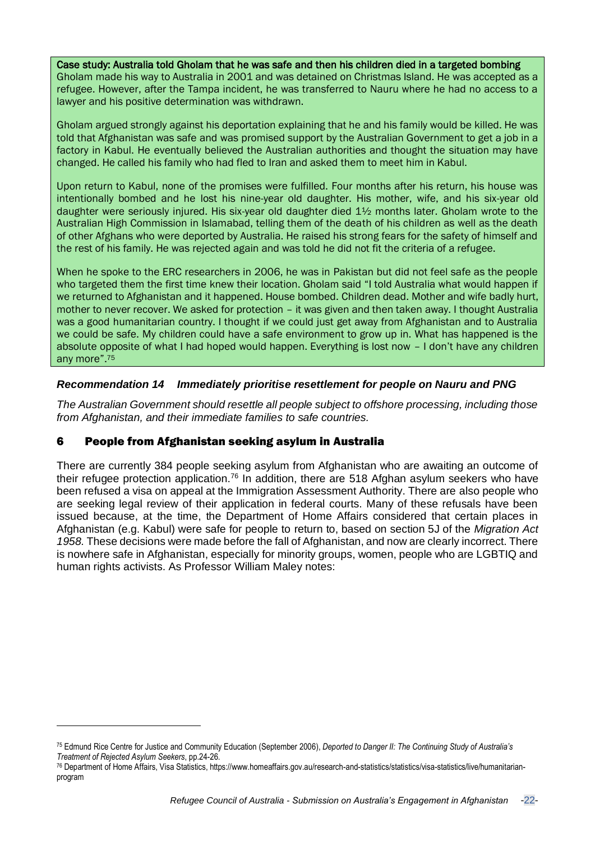Case study: Australia told Gholam that he was safe and then his children died in a targeted bombing Gholam made his way to Australia in 2001 and was detained on Christmas Island. He was accepted as a refugee. However, after the Tampa incident, he was transferred to Nauru where he had no access to a lawyer and his positive determination was withdrawn.

Gholam argued strongly against his deportation explaining that he and his family would be killed. He was told that Afghanistan was safe and was promised support by the Australian Government to get a job in a factory in Kabul. He eventually believed the Australian authorities and thought the situation may have changed. He called his family who had fled to Iran and asked them to meet him in Kabul.

Upon return to Kabul, none of the promises were fulfilled. Four months after his return, his house was intentionally bombed and he lost his nine-year old daughter. His mother, wife, and his six-year old daughter were seriously injured. His six-year old daughter died 1½ months later. Gholam wrote to the Australian High Commission in Islamabad, telling them of the death of his children as well as the death of other Afghans who were deported by Australia. He raised his strong fears for the safety of himself and the rest of his family. He was rejected again and was told he did not fit the criteria of a refugee.

When he spoke to the ERC researchers in 2006, he was in Pakistan but did not feel safe as the people who targeted them the first time knew their location. Gholam said "I told Australia what would happen if we returned to Afghanistan and it happened. House bombed. Children dead. Mother and wife badly hurt, mother to never recover. We asked for protection – it was given and then taken away. I thought Australia was a good humanitarian country. I thought if we could just get away from Afghanistan and to Australia we could be safe. My children could have a safe environment to grow up in. What has happened is the absolute opposite of what I had hoped would happen. Everything is lost now – I don't have any children any more".<sup>75</sup>

## *Recommendation 14 Immediately prioritise resettlement for people on Nauru and PNG*

*The Australian Government should resettle all people subject to offshore processing, including those from Afghanistan, and their immediate families to safe countries.*

## 6 People from Afghanistan seeking asylum in Australia

There are currently 384 people seeking asylum from Afghanistan who are awaiting an outcome of their refugee protection application.<sup>76</sup> In addition, there are 518 Afghan asylum seekers who have been refused a visa on appeal at the Immigration Assessment Authority. There are also people who are seeking legal review of their application in federal courts. Many of these refusals have been issued because, at the time, the Department of Home Affairs considered that certain places in Afghanistan (e.g. Kabul) were safe for people to return to, based on section 5J of the *Migration Act 1958.* These decisions were made before the fall of Afghanistan, and now are clearly incorrect. There is nowhere safe in Afghanistan, especially for minority groups, women, people who are LGBTIQ and human rights activists. As Professor William Maley notes:

<sup>75</sup> Edmund Rice Centre for Justice and Community Education (September 2006), *Deported to Danger II: The Continuing Study of Australia's Treatment of Rejected Asylum Seekers*, pp.24-26.

<sup>76</sup> Department of Home Affairs, Visa Statistics, https://www.homeaffairs.gov.au/research-and-statistics/statistics/visa-statistics/live/humanitarianprogram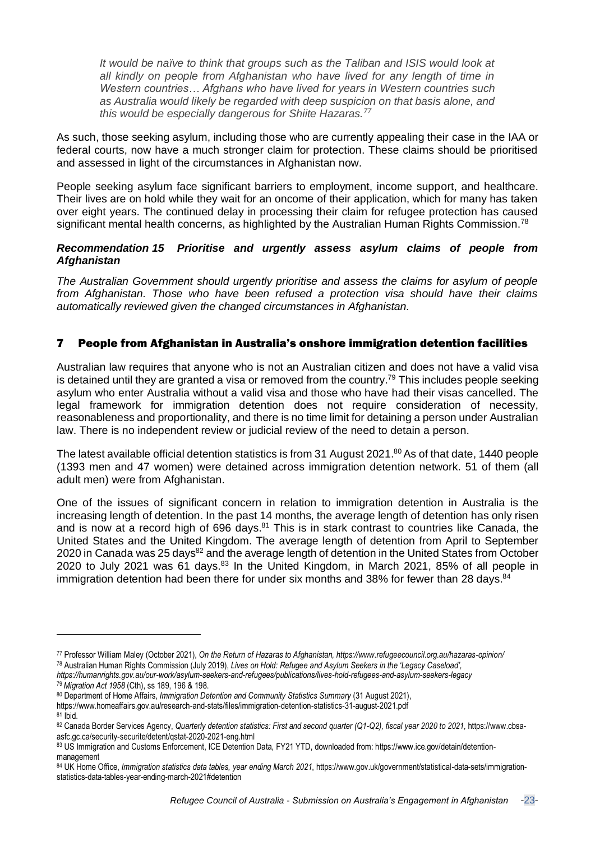*It would be naïve to think that groups such as the Taliban and ISIS would look at all kindly on people from Afghanistan who have lived for any length of time in Western countries… Afghans who have lived for years in Western countries such as Australia would likely be regarded with deep suspicion on that basis alone, and this would be especially dangerous for Shiite Hazaras.<sup>77</sup>*

As such, those seeking asylum, including those who are currently appealing their case in the IAA or federal courts, now have a much stronger claim for protection. These claims should be prioritised and assessed in light of the circumstances in Afghanistan now.

People seeking asylum face significant barriers to employment, income support, and healthcare. Their lives are on hold while they wait for an oncome of their application, which for many has taken over eight years. The continued delay in processing their claim for refugee protection has caused significant mental health concerns, as highlighted by the Australian Human Rights Commission.<sup>78</sup>

## *Recommendation 15 Prioritise and urgently assess asylum claims of people from Afghanistan*

*The Australian Government should urgently prioritise and assess the claims for asylum of people from Afghanistan. Those who have been refused a protection visa should have their claims automatically reviewed given the changed circumstances in Afghanistan.* 

## 7 People from Afghanistan in Australia's onshore immigration detention facilities

Australian law requires that anyone who is not an Australian citizen and does not have a valid visa is detained until they are granted a visa or removed from the country.<sup>79</sup> This includes people seeking asylum who enter Australia without a valid visa and those who have had their visas cancelled. The legal framework for immigration detention does not require consideration of necessity, reasonableness and proportionality, and there is no time limit for detaining a person under Australian law. There is no independent review or judicial review of the need to detain a person.

The latest available official detention statistics is from 31 August 2021.<sup>80</sup> As of that date, 1440 people (1393 men and 47 women) were detained across immigration detention network. 51 of them (all adult men) were from Afghanistan.

One of the issues of significant concern in relation to immigration detention in Australia is the increasing length of detention. In the past 14 months, the average length of detention has only risen and is now at a record high of 696 days. $81$  This is in stark contrast to countries like Canada, the United States and the United Kingdom. The average length of detention from April to September 2020 in Canada was 25 days<sup>82</sup> and the average length of detention in the United States from October 2020 to July 2021 was 61 days.<sup>83</sup> In the United Kingdom, in March 2021, 85% of all people in immigration detention had been there for under six months and 38% for fewer than 28 days.<sup>84</sup>

<sup>77</sup> Professor William Maley (October 2021), *On the Return of Hazaras to Afghanistan, <https://www.refugeecouncil.org.au/hazaras-opinion/>* <sup>78</sup> Australian Human Rights Commission (July 2019), *Lives on Hold: Refugee and Asylum Seekers in the 'Legacy Caseload',*

*<https://humanrights.gov.au/our-work/asylum-seekers-and-refugees/publications/lives-hold-refugees-and-asylum-seekers-legacy>* <sup>79</sup>*Migration Act 1958* (Cth), ss 189, 196 & 198.

<sup>80</sup> Department of Home Affairs, *Immigration Detention and Community Statistics Summary* (31 August 2021),

<https://www.homeaffairs.gov.au/research-and-stats/files/immigration-detention-statistics-31-august-2021.pdf>

 $81$  Ibid.

<sup>82</sup> Canada Border Services Agency, Quarterly detention statistics: First and second quarter (Q1-Q2), fiscal year 2020 to 2021, [https://www.cbsa](https://www.cbsa-asfc.gc.ca/security-securite/detent/qstat-2020-2021-eng.html)[asfc.gc.ca/security-securite/detent/qstat-2020-2021-eng.html](https://www.cbsa-asfc.gc.ca/security-securite/detent/qstat-2020-2021-eng.html)

<sup>83</sup> US Immigration and Customs Enforcement, ICE Detention Data, FY21 YTD, downloaded from: [https://www.ice.gov/detain/detention](https://www.ice.gov/detain/detention-management)[management](https://www.ice.gov/detain/detention-management)

<sup>84</sup> UK Home Office, *Immigration statistics data tables, year ending March 2021*, [https://www.gov.uk/government/statistical-data-sets/immigration](https://www.gov.uk/government/statistical-data-sets/immigration-statistics-data-tables-year-ending-march-2021#detention)[statistics-data-tables-year-ending-march-2021#detention](https://www.gov.uk/government/statistical-data-sets/immigration-statistics-data-tables-year-ending-march-2021#detention)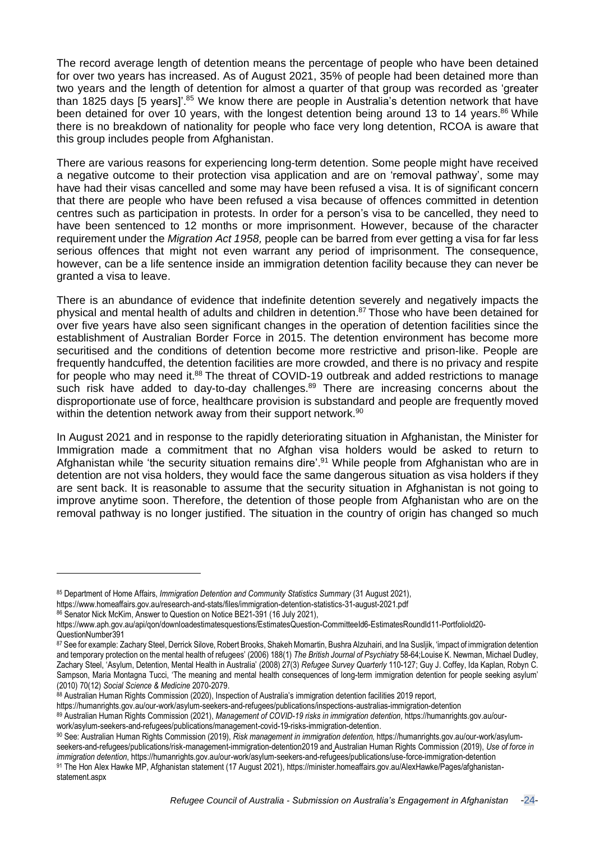The record average length of detention means the percentage of people who have been detained for over two years has increased. As of August 2021, 35% of people had been detained more than two years and the length of detention for almost a quarter of that group was recorded as 'greater than 1825 days [5 years]<sup>'.85</sup> We know there are people in Australia's detention network that have been detained for over 10 years, with the longest detention being around 13 to 14 years.<sup>86</sup> While there is no breakdown of nationality for people who face very long detention, RCOA is aware that this group includes people from Afghanistan.

There are various reasons for experiencing long-term detention. Some people might have received a negative outcome to their protection visa application and are on 'removal pathway', some may have had their visas cancelled and some may have been refused a visa. It is of significant concern that there are people who have been refused a visa because of offences committed in detention centres such as participation in protests. In order for a person's visa to be cancelled, they need to have been sentenced to 12 months or more imprisonment. However, because of the character requirement under the *Migration Act 1958,* people can be barred from ever getting a visa for far less serious offences that might not even warrant any period of imprisonment. The consequence, however, can be a life sentence inside an immigration detention facility because they can never be granted a visa to leave.

There is an abundance of evidence that indefinite detention severely and negatively impacts the physical and mental health of adults and children in detention.<sup>87</sup> Those who have been detained for over five years have also seen significant changes in the operation of detention facilities since the establishment of Australian Border Force in 2015. The detention environment has become more securitised and the conditions of detention become more restrictive and prison-like. People are frequently handcuffed, the detention facilities are more crowded, and there is no privacy and respite for people who may need it.<sup>88</sup> The threat of COVID-19 outbreak and added restrictions to manage such risk have added to day-to-day challenges.<sup>89</sup> There are increasing concerns about the disproportionate use of force, healthcare provision is substandard and people are frequently moved within the detention network away from their support network.<sup>90</sup>

In August 2021 and in response to the rapidly deteriorating situation in Afghanistan, the Minister for Immigration made a commitment that no Afghan visa holders would be asked to return to Afghanistan while 'the security situation remains dire'.<sup>91</sup> While people from Afghanistan who are in detention are not visa holders, they would face the same dangerous situation as visa holders if they are sent back. It is reasonable to assume that the security situation in Afghanistan is not going to improve anytime soon. Therefore, the detention of those people from Afghanistan who are on the removal pathway is no longer justified. The situation in the country of origin has changed so much

<sup>85</sup> Department of Home Affairs, *Immigration Detention and Community Statistics Summary* (31 August 2021), <https://www.homeaffairs.gov.au/research-and-stats/files/immigration-detention-statistics-31-august-2021.pdf>

<sup>86</sup> Senator Nick McKim, Answer to Question on Notice BE21-391 (16 July 2021).

[https://www.aph.gov.au/api/qon/downloadestimatesquestions/EstimatesQuestion-CommitteeId6-EstimatesRoundId11-PortfolioId20-](https://www.aph.gov.au/api/qon/downloadestimatesquestions/EstimatesQuestion-CommitteeId6-EstimatesRoundId11-PortfolioId20-QuestionNumber391) [QuestionNumber391](https://www.aph.gov.au/api/qon/downloadestimatesquestions/EstimatesQuestion-CommitteeId6-EstimatesRoundId11-PortfolioId20-QuestionNumber391)

<sup>87</sup> See for example: Zachary Steel, Derrick Silove, Robert Brooks, Shakeh Momartin, Bushra Alzuhairi, and Ina Suslijk, 'impact of immigration detention and temporary protection on the mental health of refugees' (2006) 188(1) *The British Journal of Psychiatry* 58-64;Louise K. Newman, Michael Dudley, Zachary Steel, 'Asylum, Detention, Mental Health in Australia' (2008) 27(3) *Refugee Survey Quarterly* 110-127; Guy J. Coffey, Ida Kaplan, Robyn C. Sampson, Maria Montagna Tucci, 'The meaning and mental health consequences of long-term immigration detention for people seeking asylum' (2010) 70(12) *Social Science & Medicine* 2070-2079.

<sup>88</sup> Australian Human Rights Commission (2020), Inspection of Australia's immigration detention facilities 2019 report,

<https://humanrights.gov.au/our-work/asylum-seekers-and-refugees/publications/inspections-australias-immigration-detention>

<sup>89</sup> Australian Human Rights Commission (2021), *Management of COVID-19 risks in immigration detention,* [https://humanrights.gov.au/our](https://humanrights.gov.au/our-work/asylum-seekers-and-refugees/publications/management-covid-19-risks-immigration-detention)[work/asylum-seekers-and-refugees/publications/management-covid-19-risks-immigration-detention.](https://humanrights.gov.au/our-work/asylum-seekers-and-refugees/publications/management-covid-19-risks-immigration-detention)

<sup>90</sup> See: Australian Human Rights Commission (2019), *Risk management in immigration detention,* [https://humanrights.gov.au/our-work/asylum](https://humanrights.gov.au/our-work/asylum-seekers-and-refugees/publications/risk-management-immigration-detention2019)[seekers-and-refugees/publications/risk-management-immigration-detention2019](https://humanrights.gov.au/our-work/asylum-seekers-and-refugees/publications/risk-management-immigration-detention2019) and Australian Human Rights Commission (2019), *Use of force in immigration detention*, <https://humanrights.gov.au/our-work/asylum-seekers-and-refugees/publications/use-force-immigration-detention> 91 The Hon Alex Hawke MP, Afghanistan statement (17 August 2021), [https://minister.homeaffairs.gov.au/AlexHawke/Pages/afghanistan](https://minister.homeaffairs.gov.au/AlexHawke/Pages/afghanistan-statement.aspx)[statement.aspx](https://minister.homeaffairs.gov.au/AlexHawke/Pages/afghanistan-statement.aspx)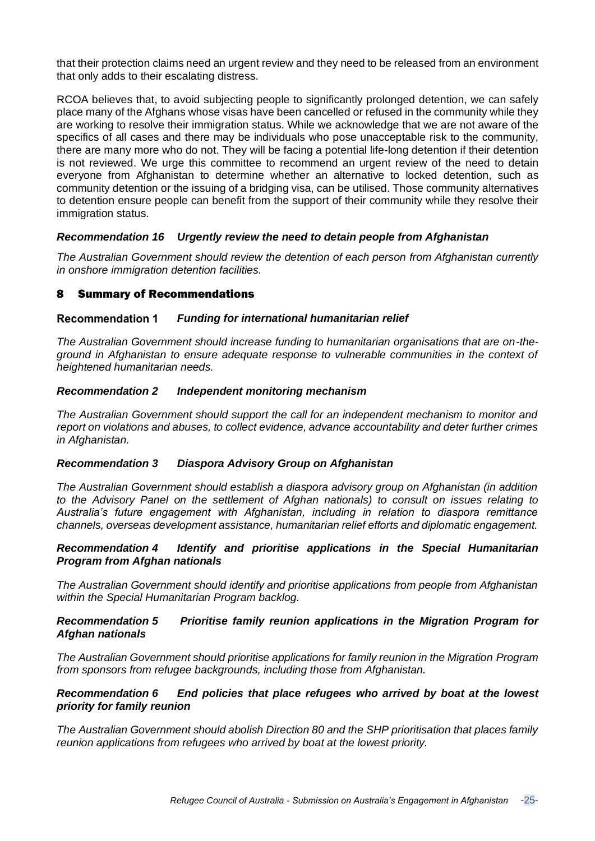that their protection claims need an urgent review and they need to be released from an environment that only adds to their escalating distress.

RCOA believes that, to avoid subjecting people to significantly prolonged detention, we can safely place many of the Afghans whose visas have been cancelled or refused in the community while they are working to resolve their immigration status. While we acknowledge that we are not aware of the specifics of all cases and there may be individuals who pose unacceptable risk to the community, there are many more who do not. They will be facing a potential life-long detention if their detention is not reviewed. We urge this committee to recommend an urgent review of the need to detain everyone from Afghanistan to determine whether an alternative to locked detention, such as community detention or the issuing of a bridging visa, can be utilised. Those community alternatives to detention ensure people can benefit from the support of their community while they resolve their immigration status.

## *Recommendation 16 Urgently review the need to detain people from Afghanistan*

*The Australian Government should review the detention of each person from Afghanistan currently in onshore immigration detention facilities.*

## 8 Summary of Recommendations

#### *Funding for international humanitarian relief*  **Recommendation 1**

*The Australian Government should increase funding to humanitarian organisations that are on-theground in Afghanistan to ensure adequate response to vulnerable communities in the context of heightened humanitarian needs.*

#### *Recommendation 2 Independent monitoring mechanism*

*The Australian Government should support the call for an independent mechanism to monitor and report on violations and abuses, to collect evidence, advance accountability and deter further crimes in Afghanistan.* 

#### *Recommendation 3 Diaspora Advisory Group on Afghanistan*

*The Australian Government should establish a diaspora advisory group on Afghanistan (in addition to the Advisory Panel on the settlement of Afghan nationals) to consult on issues relating to Australia's future engagement with Afghanistan, including in relation to diaspora remittance channels, overseas development assistance, humanitarian relief efforts and diplomatic engagement.*

## *Recommendation 4 Identify and prioritise applications in the Special Humanitarian Program from Afghan nationals*

*The Australian Government should identify and prioritise applications from people from Afghanistan within the Special Humanitarian Program backlog.*

## *Recommendation 5 Prioritise family reunion applications in the Migration Program for Afghan nationals*

*The Australian Government should prioritise applications for family reunion in the Migration Program from sponsors from refugee backgrounds, including those from Afghanistan.*

## *Recommendation 6 End policies that place refugees who arrived by boat at the lowest priority for family reunion*

*The Australian Government should abolish Direction 80 and the SHP prioritisation that places family reunion applications from refugees who arrived by boat at the lowest priority.*